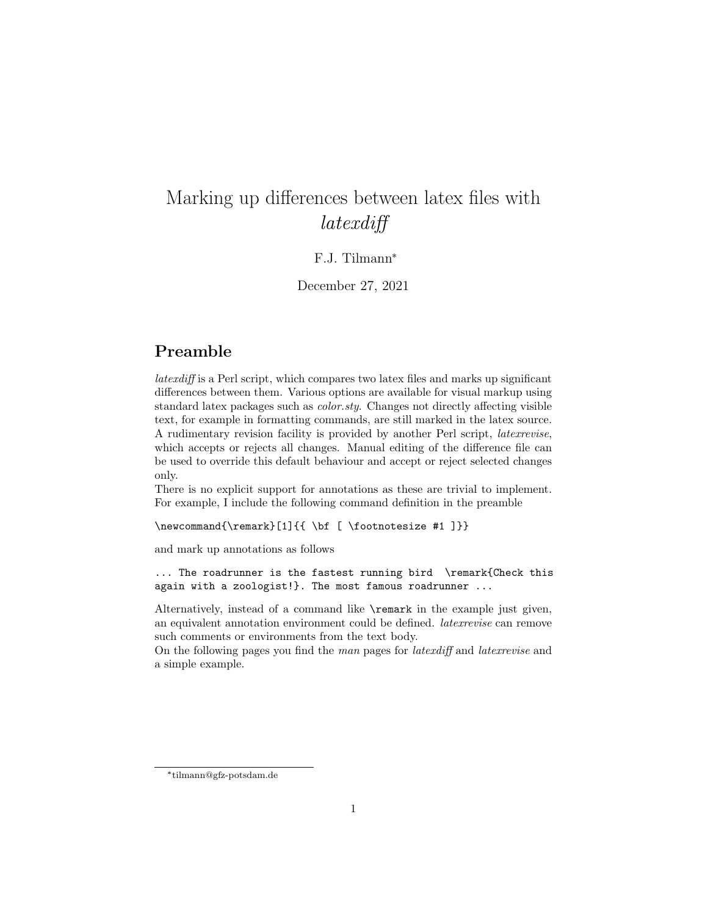# Marking up differences between latex files with latexdiff

## F.J. Tilmann\*

December 27, 2021

## Preamble

latexdiff is a Perl script, which compares two latex files and marks up significant differences between them. Various options are available for visual markup using standard latex packages such as *color.sty*. Changes not directly affecting visible text, for example in formatting commands, are still marked in the latex source. A rudimentary revision facility is provided by another Perl script, latexrevise, which accepts or rejects all changes. Manual editing of the difference file can be used to override this default behaviour and accept or reject selected changes only.

There is no explicit support for annotations as these are trivial to implement. For example, I include the following command definition in the preamble

\newcommand{\remark}[1]{{ \bf [ \footnotesize #1 ]}}

and mark up annotations as follows

... The roadrunner is the fastest running bird \remark{Check this again with a zoologist!}. The most famous roadrunner ...

Alternatively, instead of a command like \remark in the example just given, an equivalent annotation environment could be defined. latexrevise can remove such comments or environments from the text body.

On the following pages you find the man pages for *latexdiff* and *latexrevise* and a simple example.

<sup>\*</sup> tilmann@gfz-potsdam.de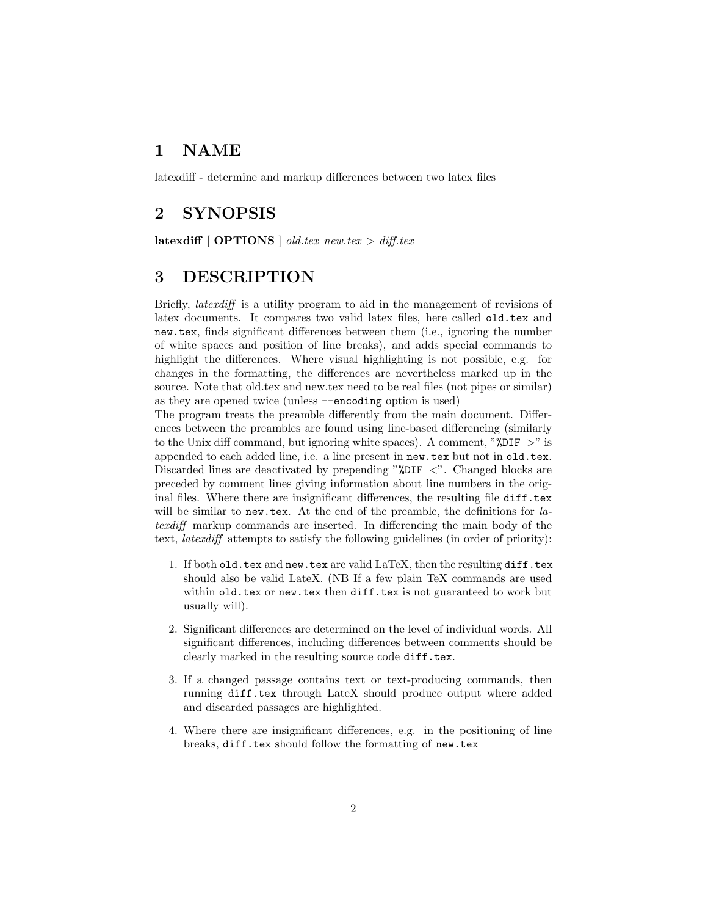## 1 NAME

latexdiff - determine and markup differences between two latex files

## 2 SYNOPSIS

latexdiff  $[$  OPTIONS  $]$  old.tex new.tex  $>$  diff.tex

## 3 DESCRIPTION

Briefly, latexdiff is a utility program to aid in the management of revisions of latex documents. It compares two valid latex files, here called old.tex and new.tex, finds significant differences between them (i.e., ignoring the number of white spaces and position of line breaks), and adds special commands to highlight the differences. Where visual highlighting is not possible, e.g. for changes in the formatting, the differences are nevertheless marked up in the source. Note that old.tex and new.tex need to be real files (not pipes or similar) as they are opened twice (unless --encoding option is used)

The program treats the preamble differently from the main document. Differences between the preambles are found using line-based differencing (similarly to the Unix diff command, but ignoring white spaces). A comment, " $\gamma_{\text{DIF}} >$ " is appended to each added line, i.e. a line present in new.tex but not in old.tex. Discarded lines are deactivated by prepending " $\text{\%DIF}$  <". Changed blocks are preceded by comment lines giving information about line numbers in the original files. Where there are insignificant differences, the resulting file diff.tex will be similar to new.tex. At the end of the preamble, the definitions for latexdiff markup commands are inserted. In differencing the main body of the text, latexdiff attempts to satisfy the following guidelines (in order of priority):

- 1. If both old.tex and new.tex are valid LaTeX, then the resulting diff.tex should also be valid LateX. (NB If a few plain TeX commands are used within old.tex or new.tex then diff.tex is not guaranteed to work but usually will).
- 2. Significant differences are determined on the level of individual words. All significant differences, including differences between comments should be clearly marked in the resulting source code diff.tex.
- 3. If a changed passage contains text or text-producing commands, then running diff.tex through LateX should produce output where added and discarded passages are highlighted.
- 4. Where there are insignificant differences, e.g. in the positioning of line breaks, diff.tex should follow the formatting of new.tex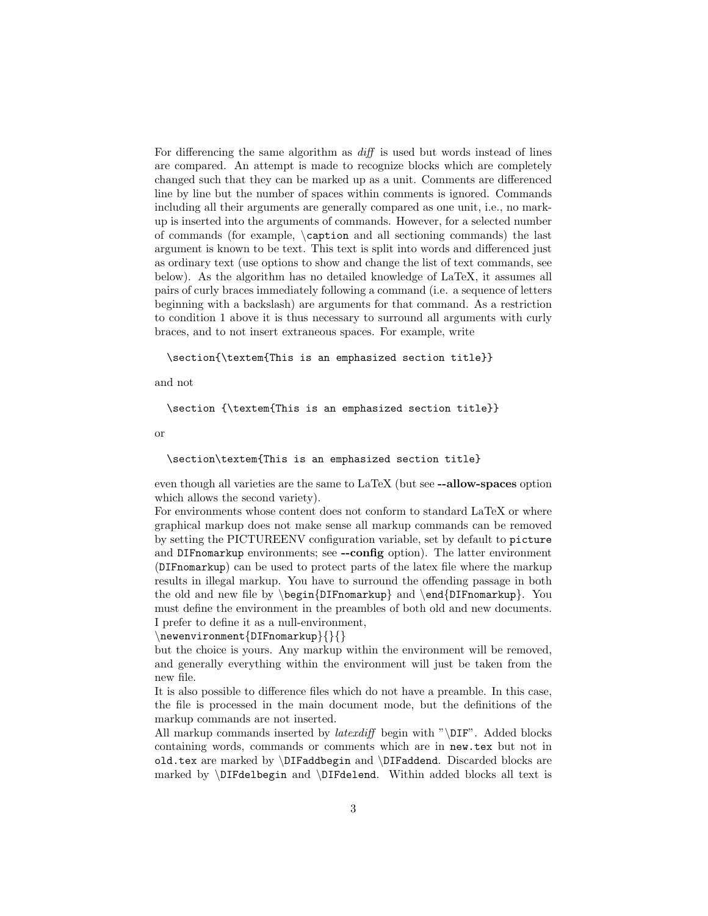For differencing the same algorithm as diff is used but words instead of lines are compared. An attempt is made to recognize blocks which are completely changed such that they can be marked up as a unit. Comments are differenced line by line but the number of spaces within comments is ignored. Commands including all their arguments are generally compared as one unit, i.e., no markup is inserted into the arguments of commands. However, for a selected number of commands (for example, \caption and all sectioning commands) the last argument is known to be text. This text is split into words and differenced just as ordinary text (use options to show and change the list of text commands, see below). As the algorithm has no detailed knowledge of LaTeX, it assumes all pairs of curly braces immediately following a command (i.e. a sequence of letters beginning with a backslash) are arguments for that command. As a restriction to condition 1 above it is thus necessary to surround all arguments with curly braces, and to not insert extraneous spaces. For example, write

### \section{\textem{This is an emphasized section title}}

and not

```
\section {\textem{This is an emphasized section title}}
```
or

#### \section\textem{This is an emphasized section title}

even though all varieties are the same to LaTeX (but see --allow-spaces option which allows the second variety).

For environments whose content does not conform to standard LaTeX or where graphical markup does not make sense all markup commands can be removed by setting the PICTUREENV configuration variable, set by default to picture and DIFnomarkup environments; see --config option). The latter environment (DIFnomarkup) can be used to protect parts of the latex file where the markup results in illegal markup. You have to surround the offending passage in both the old and new file by  $\begin{array}{c}$  and  $\end{array}$  and  $\end{array}$ . You must define the environment in the preambles of both old and new documents. I prefer to define it as a null-environment,

### \newenvironment{DIFnomarkup}{}{}

but the choice is yours. Any markup within the environment will be removed, and generally everything within the environment will just be taken from the new file.

It is also possible to difference files which do not have a preamble. In this case, the file is processed in the main document mode, but the definitions of the markup commands are not inserted.

All markup commands inserted by *latexdiff* begin with " $\D_{IF}$ ". Added blocks containing words, commands or comments which are in new.tex but not in old.tex are marked by \DIFaddbegin and \DIFaddend. Discarded blocks are marked by \DIFdelbegin and \DIFdelend. Within added blocks all text is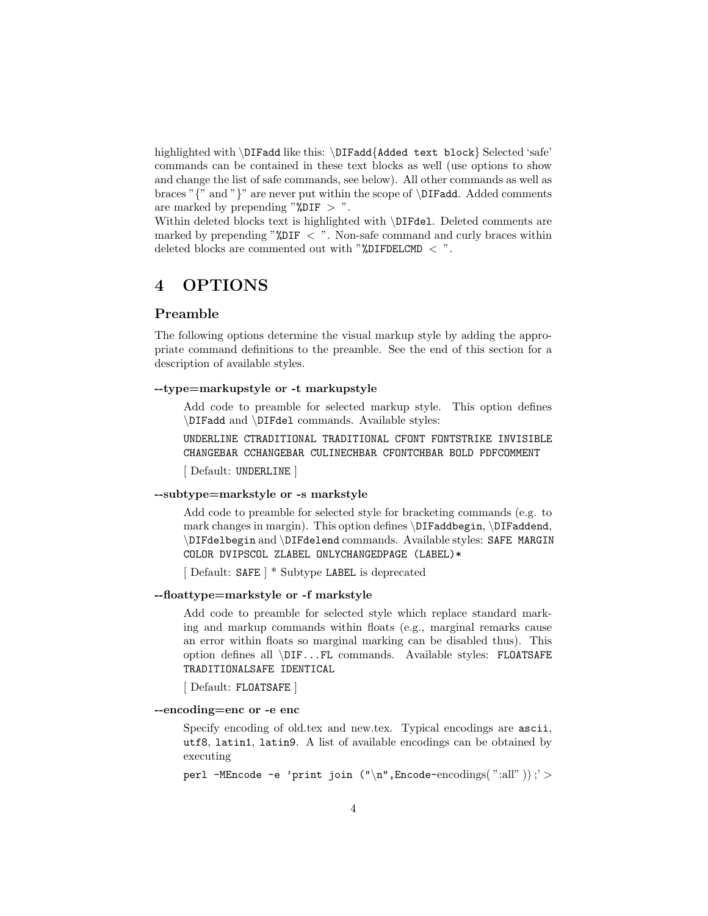highlighted with \DIFadd like this: \DIFadd{Added text block} Selected 'safe' commands can be contained in these text blocks as well (use options to show and change the list of safe commands, see below). All other commands as well as braces " $\{$ " and " $\}$ " are never put within the scope of  $\DIFadd.$  Added comments are marked by prepending " $\text{\%DIF} > \text{\%}$ .

Within deleted blocks text is highlighted with \DIFdel. Deleted comments are marked by prepending " $*$ DIF  $\lt$ ". Non-safe command and curly braces within deleted blocks are commented out with " $\text{\%DIFFECCMD} <$  ".

## 4 OPTIONS

## Preamble

The following options determine the visual markup style by adding the appropriate command definitions to the preamble. See the end of this section for a description of available styles.

### --type=markupstyle or -t markupstyle

Add code to preamble for selected markup style. This option defines \DIFadd and \DIFdel commands. Available styles:

UNDERLINE CTRADITIONAL TRADITIONAL CFONT FONTSTRIKE INVISIBLE CHANGEBAR CCHANGEBAR CULINECHBAR CFONTCHBAR BOLD PDFCOMMENT

[ Default: UNDERLINE ]

#### --subtype=markstyle or -s markstyle

Add code to preamble for selected style for bracketing commands (e.g. to mark changes in margin). This option defines \DIFaddbegin, \DIFaddend, \DIFdelbegin and \DIFdelend commands. Available styles: SAFE MARGIN COLOR DVIPSCOL ZLABEL ONLYCHANGEDPAGE (LABEL)\*

[ Default: SAFE ] \* Subtype LABEL is deprecated

#### --floattype=markstyle or -f markstyle

Add code to preamble for selected style which replace standard marking and markup commands within floats (e.g., marginal remarks cause an error within floats so marginal marking can be disabled thus). This option defines all \DIF...FL commands. Available styles: FLOATSAFE TRADITIONALSAFE IDENTICAL

[ Default: FLOATSAFE ]

#### --encoding=enc or -e enc

Specify encoding of old.tex and new.tex. Typical encodings are ascii, utf8, latin1, latin9. A list of available encodings can be obtained by executing

perl -MEncode -e 'print join  $(\cdot \nmid n$ ", Encode-encodings(":all"));' >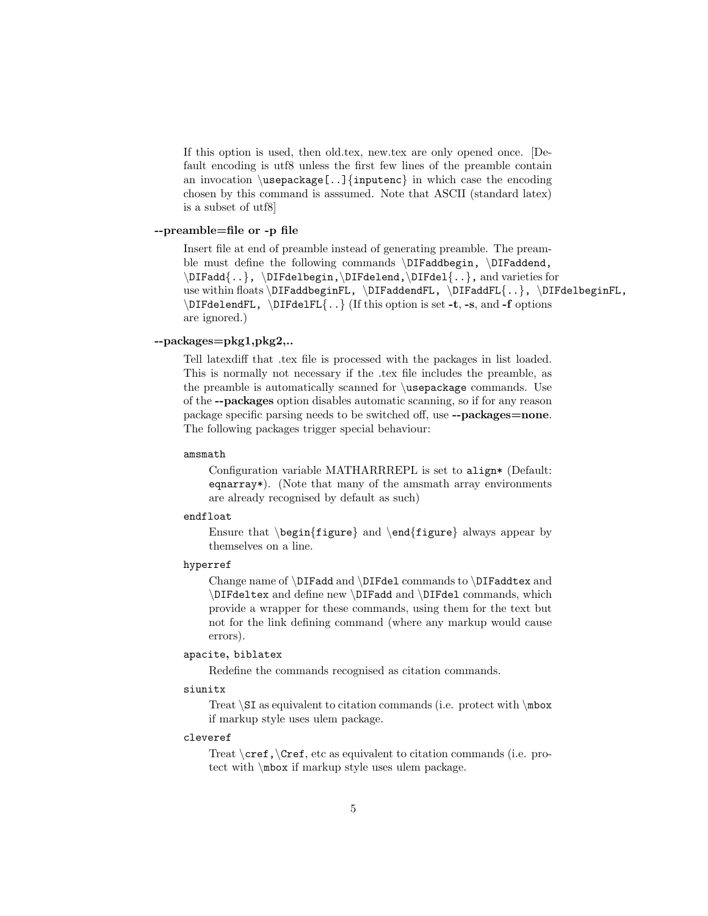If this option is used, then old.tex, new.tex are only opened once. [Default encoding is utf8 unless the first few lines of the preamble contain an invocation  $\usepackage[..]{inputenc}$  in which case the encoding chosen by this command is asssumed. Note that ASCII (standard latex) is a subset of utf8]

#### --preamble=file or -p file

Insert file at end of preamble instead of generating preamble. The preamble must define the following commands \DIFaddbegin, \DIFaddend, \DIFadd{..}, \DIFdelbegin,\DIFdelend,\DIFdel{..}, and varieties for use within floats \DIFaddbeginFL, \DIFaddendFL, \DIFaddFL{..}, \DIFdelbeginFL, \DIFdelendFL, \DIFdelFL{..} (If this option is set -t, -s, and -f options are ignored.)

### --packages=pkg1,pkg2,..

Tell latexdiff that .tex file is processed with the packages in list loaded. This is normally not necessary if the .tex file includes the preamble, as the preamble is automatically scanned for \usepackage commands. Use of the --packages option disables automatic scanning, so if for any reason package specific parsing needs to be switched off, use --packages=none. The following packages trigger special behaviour:

#### amsmath

Configuration variable MATHARRREPL is set to align\* (Default: eqnarray\*). (Note that many of the amsmath array environments are already recognised by default as such)

#### endfloat

Ensure that  $\begin{cases} and \end{cases} and \end{cases} always appear by$ themselves on a line.

### hyperref

Change name of \DIFadd and \DIFdel commands to \DIFaddtex and \DIFdeltex and define new \DIFadd and \DIFdel commands, which provide a wrapper for these commands, using them for the text but not for the link defining command (where any markup would cause errors).

### apacite, biblatex

Redefine the commands recognised as citation commands.

#### siunitx

Treat  $\S$ I as equivalent to citation commands (i.e. protect with  $\n\rightharpoonup$  mbox if markup style uses ulem package.

#### cleveref

Treat  $\c{cref}$ ,  $\c{tet}$ , etc as equivalent to citation commands (i.e. protect with \mbox if markup style uses ulem package.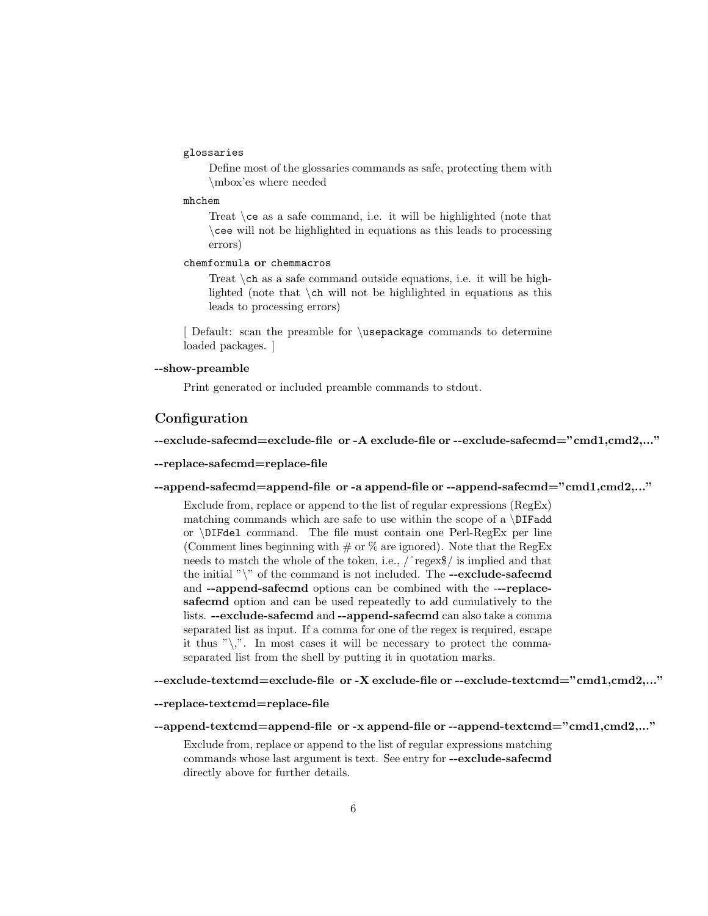## glossaries

Define most of the glossaries commands as safe, protecting them with \mbox'es where needed

### mhchem

Treat \ce as a safe command, i.e. it will be highlighted (note that \cee will not be highlighted in equations as this leads to processing errors)

#### chemformula or chemmacros

Treat \ch as a safe command outside equations, i.e. it will be highlighted (note that \ch will not be highlighted in equations as this leads to processing errors)

[ Default: scan the preamble for \usepackage commands to determine loaded packages. ]

#### --show-preamble

Print generated or included preamble commands to stdout.

### **Configuration**

#### --exclude-safecmd=exclude-file or -A exclude-file or --exclude-safecmd="cmd1,cmd2,..."

#### --replace-safecmd=replace-file

--append-safecmd=append-file or -a append-file or --append-safecmd="cmd1,cmd2,..."

Exclude from, replace or append to the list of regular expressions (RegEx) matching commands which are safe to use within the scope of a  $\D{IFadd}$ or \DIFdel command. The file must contain one Perl-RegEx per line (Comment lines beginning with  $\#$  or  $\%$  are ignored). Note that the RegEx needs to match the whole of the token, i.e., /ˆregex\$/ is implied and that the initial " $\mathcal{N}$ " of the command is not included. The --exclude-safecmd and --append-safecmd options can be combined with the ---replacesafecmd option and can be used repeatedly to add cumulatively to the lists. --exclude-safecmd and --append-safecmd can also take a comma separated list as input. If a comma for one of the regex is required, escape it thus " $\langle \cdot \rangle$ ". In most cases it will be necessary to protect the commaseparated list from the shell by putting it in quotation marks.

--exclude-textcmd=exclude-file or -X exclude-file or --exclude-textcmd="cmd1,cmd2,..."

#### --replace-textcmd=replace-file

```
--append-textcmd=append-file or -x append-file or --append-textcmd="cmd1,cmd2,..."
```
Exclude from, replace or append to the list of regular expressions matching commands whose last argument is text. See entry for --exclude-safecmd directly above for further details.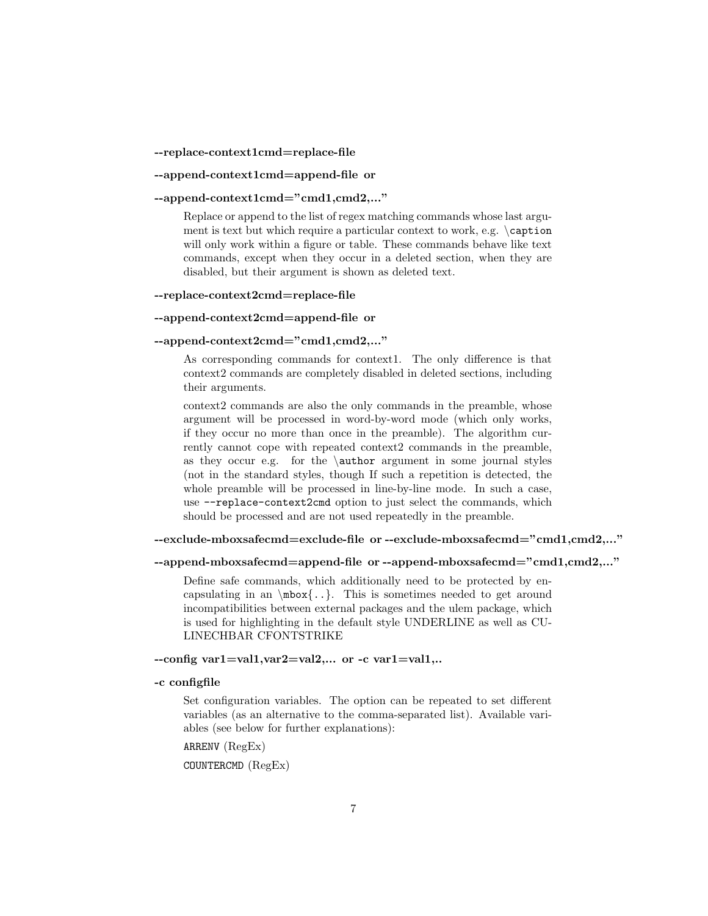#### --replace-context1cmd=replace-file

#### --append-context1cmd=append-file or

### --append-context1cmd="cmd1,cmd2,..."

Replace or append to the list of regex matching commands whose last argument is text but which require a particular context to work, e.g.  $\c$ aption will only work within a figure or table. These commands behave like text commands, except when they occur in a deleted section, when they are disabled, but their argument is shown as deleted text.

#### --replace-context2cmd=replace-file

### --append-context2cmd=append-file or

#### --append-context2cmd="cmd1,cmd2,..."

As corresponding commands for context1. The only difference is that context2 commands are completely disabled in deleted sections, including their arguments.

context2 commands are also the only commands in the preamble, whose argument will be processed in word-by-word mode (which only works, if they occur no more than once in the preamble). The algorithm currently cannot cope with repeated context2 commands in the preamble, as they occur e.g. for the  $\$ author argument in some journal styles (not in the standard styles, though If such a repetition is detected, the whole preamble will be processed in line-by-line mode. In such a case, use --replace-context2cmd option to just select the commands, which should be processed and are not used repeatedly in the preamble.

#### --exclude-mboxsafecmd=exclude-file or --exclude-mboxsafecmd="cmd1,cmd2,..."

#### --append-mboxsafecmd=append-file or --append-mboxsafecmd="cmd1,cmd2,..."

Define safe commands, which additionally need to be protected by encapsulating in an  $\mbox{\,k.}.$  This is sometimes needed to get around incompatibilities between external packages and the ulem package, which is used for highlighting in the default style UNDERLINE as well as CU-LINECHBAR CFONTSTRIKE

#### $-$ config var1=val1, var2=val2,... or  $-c$  var1=val1,..

#### -c configfile

Set configuration variables. The option can be repeated to set different variables (as an alternative to the comma-separated list). Available variables (see below for further explanations):

ARRENV (RegEx)

COUNTERCMD (RegEx)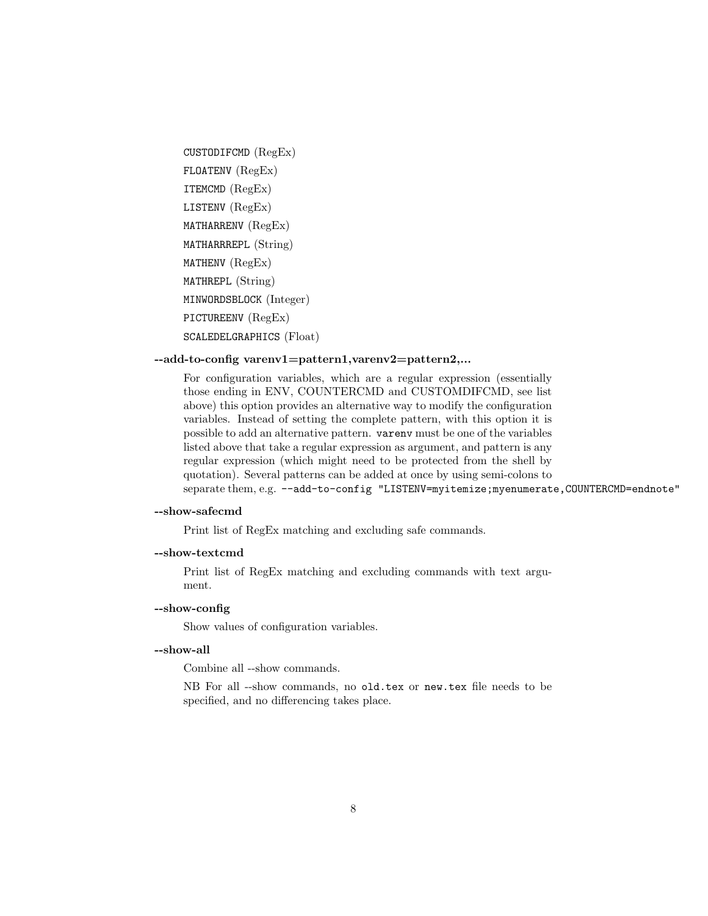```
CUSTODIFCMD (RegEx)
FLOATENV (RegEx)
ITEMCMD (RegEx)
LISTENV (RegEx)
MATHARRENV (RegEx)
MATHARRREPL (String)
MATHENV (RegEx)
MATHREPL (String)
MINWORDSBLOCK (Integer)
PICTUREENV (RegEx)
SCALEDELGRAPHICS (Float)
```
### --add-to-config varenv1=pattern1,varenv2=pattern2,...

For configuration variables, which are a regular expression (essentially those ending in ENV, COUNTERCMD and CUSTOMDIFCMD, see list above) this option provides an alternative way to modify the configuration variables. Instead of setting the complete pattern, with this option it is possible to add an alternative pattern. varenv must be one of the variables listed above that take a regular expression as argument, and pattern is any regular expression (which might need to be protected from the shell by quotation). Several patterns can be added at once by using semi-colons to separate them, e.g. --add-to-config "LISTENV=myitemize;myenumerate, COUNTERCMD=endnote"

#### --show-safecmd

Print list of RegEx matching and excluding safe commands.

### --show-textcmd

Print list of RegEx matching and excluding commands with text argument.

#### --show-config

Show values of configuration variables.

#### --show-all

Combine all --show commands.

NB For all --show commands, no old.tex or new.tex file needs to be specified, and no differencing takes place.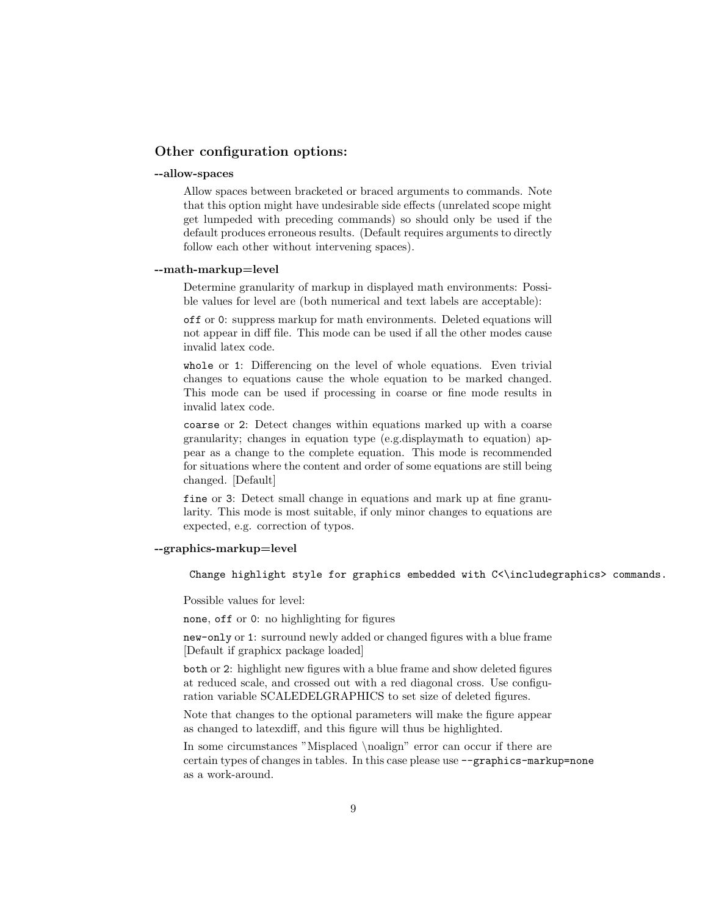### Other configuration options:

#### --allow-spaces

Allow spaces between bracketed or braced arguments to commands. Note that this option might have undesirable side effects (unrelated scope might get lumpeded with preceding commands) so should only be used if the default produces erroneous results. (Default requires arguments to directly follow each other without intervening spaces).

#### --math-markup=level

Determine granularity of markup in displayed math environments: Possible values for level are (both numerical and text labels are acceptable):

off or 0: suppress markup for math environments. Deleted equations will not appear in diff file. This mode can be used if all the other modes cause invalid latex code.

whole or 1: Differencing on the level of whole equations. Even trivial changes to equations cause the whole equation to be marked changed. This mode can be used if processing in coarse or fine mode results in invalid latex code.

coarse or 2: Detect changes within equations marked up with a coarse granularity; changes in equation type (e.g.displaymath to equation) appear as a change to the complete equation. This mode is recommended for situations where the content and order of some equations are still being changed. [Default]

fine or 3: Detect small change in equations and mark up at fine granularity. This mode is most suitable, if only minor changes to equations are expected, e.g. correction of typos.

### --graphics-markup=level

Change highlight style for graphics embedded with C<\includegraphics> commands.

Possible values for level:

none, off or 0: no highlighting for figures

new-only or 1: surround newly added or changed figures with a blue frame [Default if graphicx package loaded]

both or 2: highlight new figures with a blue frame and show deleted figures at reduced scale, and crossed out with a red diagonal cross. Use configuration variable SCALEDELGRAPHICS to set size of deleted figures.

Note that changes to the optional parameters will make the figure appear as changed to latexdiff, and this figure will thus be highlighted.

In some circumstances "Misplaced \noalign" error can occur if there are certain types of changes in tables. In this case please use --graphics-markup=none as a work-around.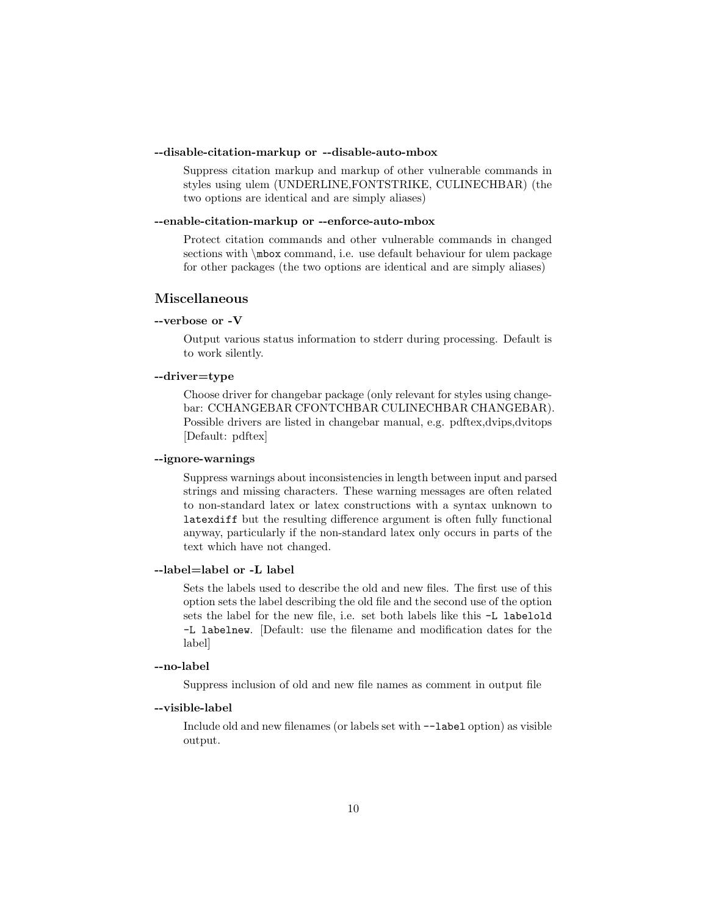#### --disable-citation-markup or --disable-auto-mbox

Suppress citation markup and markup of other vulnerable commands in styles using ulem (UNDERLINE,FONTSTRIKE, CULINECHBAR) (the two options are identical and are simply aliases)

#### --enable-citation-markup or --enforce-auto-mbox

Protect citation commands and other vulnerable commands in changed sections with \mbox command, i.e. use default behaviour for ulem package for other packages (the two options are identical and are simply aliases)

## Miscellaneous

### --verbose or -V

Output various status information to stderr during processing. Default is to work silently.

### --driver=type

Choose driver for changebar package (only relevant for styles using changebar: CCHANGEBAR CFONTCHBAR CULINECHBAR CHANGEBAR). Possible drivers are listed in changebar manual, e.g. pdftex,dvips,dvitops [Default: pdftex]

### --ignore-warnings

Suppress warnings about inconsistencies in length between input and parsed strings and missing characters. These warning messages are often related to non-standard latex or latex constructions with a syntax unknown to latexdiff but the resulting difference argument is often fully functional anyway, particularly if the non-standard latex only occurs in parts of the text which have not changed.

## --label=label or -L label

Sets the labels used to describe the old and new files. The first use of this option sets the label describing the old file and the second use of the option sets the label for the new file, i.e. set both labels like this -L labelold -L labelnew. [Default: use the filename and modification dates for the label]

#### --no-label

Suppress inclusion of old and new file names as comment in output file

#### --visible-label

Include old and new filenames (or labels set with --label option) as visible output.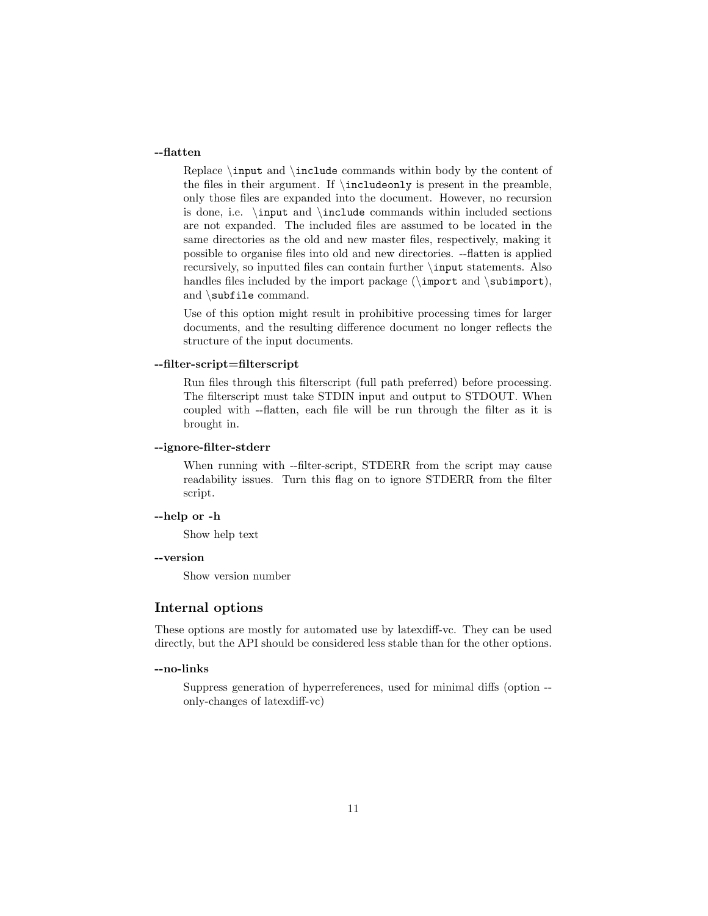### --flatten

Replace \input and \include commands within body by the content of the files in their argument. If \includeonly is present in the preamble, only those files are expanded into the document. However, no recursion is done, i.e. \input and \include commands within included sections are not expanded. The included files are assumed to be located in the same directories as the old and new master files, respectively, making it possible to organise files into old and new directories. --flatten is applied recursively, so inputted files can contain further \input statements. Also handles files included by the import package  $(\imath)$  and  $\sum$ and \subfile command.

Use of this option might result in prohibitive processing times for larger documents, and the resulting difference document no longer reflects the structure of the input documents.

### --filter-script=filterscript

Run files through this filterscript (full path preferred) before processing. The filterscript must take STDIN input and output to STDOUT. When coupled with --flatten, each file will be run through the filter as it is brought in.

#### --ignore-filter-stderr

When running with --filter-script, STDERR from the script may cause readability issues. Turn this flag on to ignore STDERR from the filter script.

### --help or -h

Show help text

### --version

Show version number

### Internal options

These options are mostly for automated use by latexdiff-vc. They can be used directly, but the API should be considered less stable than for the other options.

#### --no-links

Suppress generation of hyperreferences, used for minimal diffs (option - only-changes of latexdiff-vc)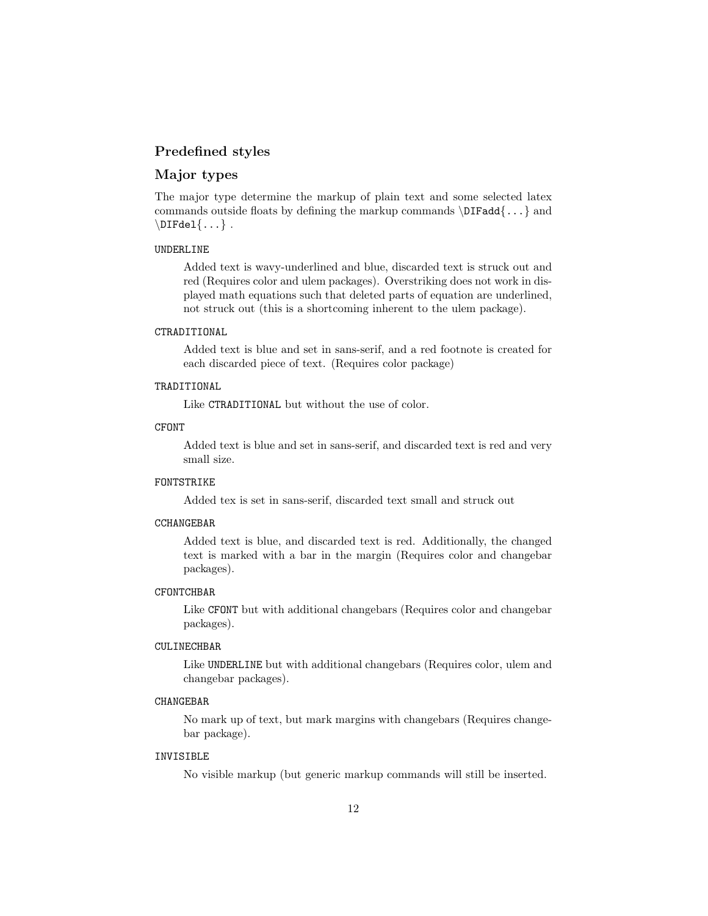## Predefined styles

## Major types

The major type determine the markup of plain text and some selected latex commands outside floats by defining the markup commands  $\DIFadd\{... \}$  and  $\Delta\{\ldots\}$ .

#### UNDERLINE

Added text is wavy-underlined and blue, discarded text is struck out and red (Requires color and ulem packages). Overstriking does not work in displayed math equations such that deleted parts of equation are underlined, not struck out (this is a shortcoming inherent to the ulem package).

#### CTRADITIONAL

Added text is blue and set in sans-serif, and a red footnote is created for each discarded piece of text. (Requires color package)

#### TRADITIONAL

Like CTRADITIONAL but without the use of color.

#### CFONT

Added text is blue and set in sans-serif, and discarded text is red and very small size.

#### FONTSTRIKE

Added tex is set in sans-serif, discarded text small and struck out

## **CCHANGEBAR**

Added text is blue, and discarded text is red. Additionally, the changed text is marked with a bar in the margin (Requires color and changebar packages).

#### **CFONTCHBAR**

Like CFONT but with additional changebars (Requires color and changebar packages).

#### CULINECHBAR

Like UNDERLINE but with additional changebars (Requires color, ulem and changebar packages).

#### CHANGEBAR

No mark up of text, but mark margins with changebars (Requires changebar package).

#### INVISIBLE

No visible markup (but generic markup commands will still be inserted.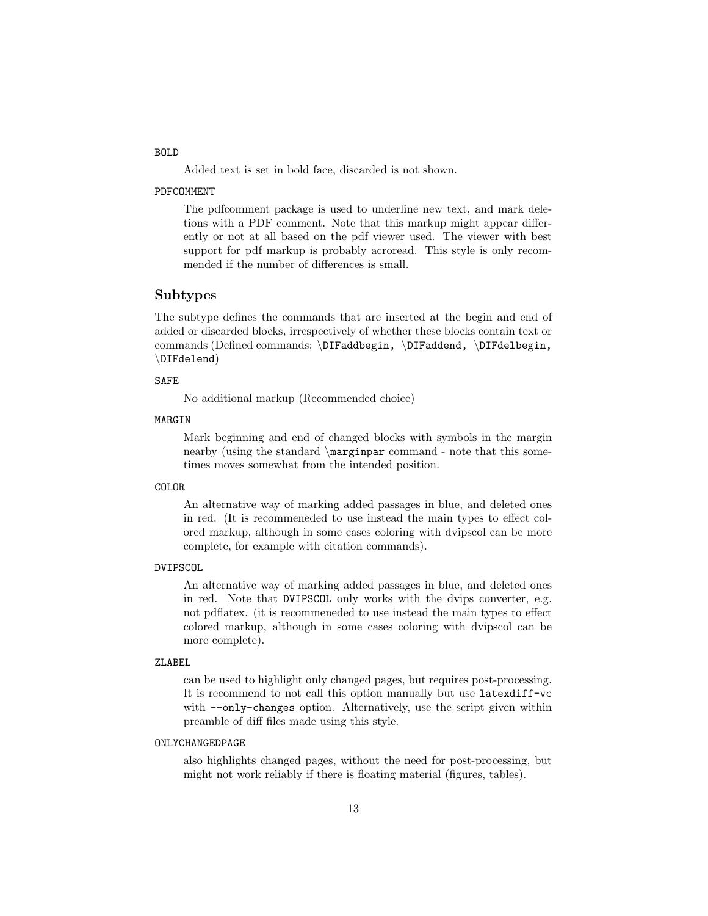#### BOLD

Added text is set in bold face, discarded is not shown.

#### PDFCOMMENT

The pdfcomment package is used to underline new text, and mark deletions with a PDF comment. Note that this markup might appear differently or not at all based on the pdf viewer used. The viewer with best support for pdf markup is probably acroread. This style is only recommended if the number of differences is small.

### Subtypes

The subtype defines the commands that are inserted at the begin and end of added or discarded blocks, irrespectively of whether these blocks contain text or commands (Defined commands: \DIFaddbegin, \DIFaddend, \DIFdelbegin, \DIFdelend)

#### SAFE

No additional markup (Recommended choice)

### MARGIN

Mark beginning and end of changed blocks with symbols in the margin nearby (using the standard \marginpar command - note that this sometimes moves somewhat from the intended position.

#### COLOR

An alternative way of marking added passages in blue, and deleted ones in red. (It is recommeneded to use instead the main types to effect colored markup, although in some cases coloring with dvipscol can be more complete, for example with citation commands).

#### DVIPSCOL

An alternative way of marking added passages in blue, and deleted ones in red. Note that DVIPSCOL only works with the dvips converter, e.g. not pdflatex. (it is recommeneded to use instead the main types to effect colored markup, although in some cases coloring with dvipscol can be more complete).

#### ZLABEL

can be used to highlight only changed pages, but requires post-processing. It is recommend to not call this option manually but use latexdiff-vc with  $\text{-only-changes option}$ . Alternatively, use the script given within preamble of diff files made using this style.

#### ONLYCHANGEDPAGE

also highlights changed pages, without the need for post-processing, but might not work reliably if there is floating material (figures, tables).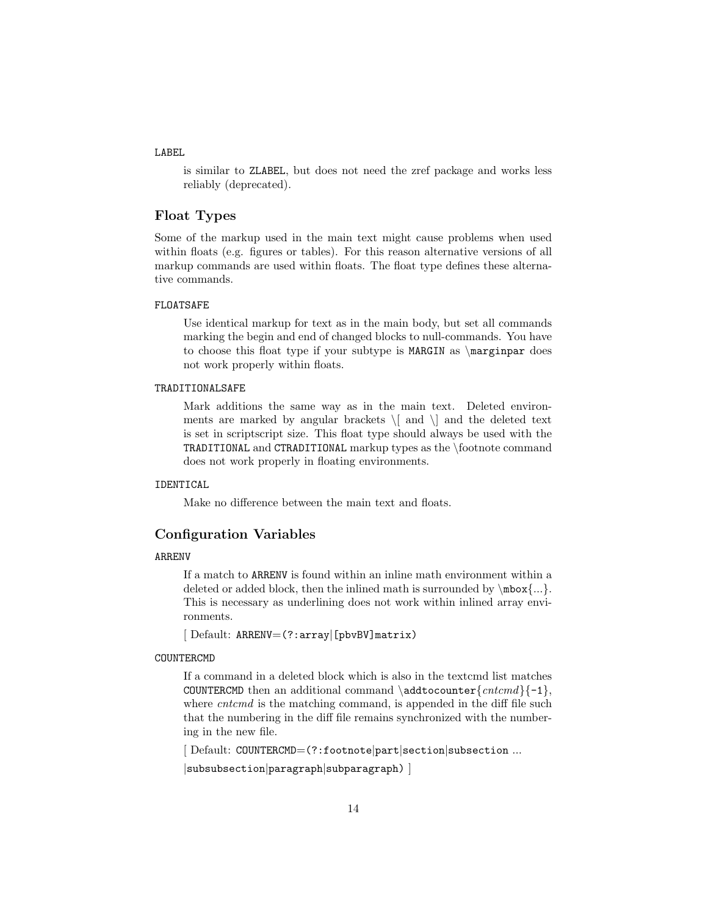#### LABEL

is similar to ZLABEL, but does not need the zref package and works less reliably (deprecated).

## Float Types

Some of the markup used in the main text might cause problems when used within floats (e.g. figures or tables). For this reason alternative versions of all markup commands are used within floats. The float type defines these alternative commands.

#### FLOATSAFE

Use identical markup for text as in the main body, but set all commands marking the begin and end of changed blocks to null-commands. You have to choose this float type if your subtype is MARGIN as \marginpar does not work properly within floats.

#### TRADITIONALSAFE

Mark additions the same way as in the main text. Deleted environments are marked by angular brackets  $\setminus$  and  $\setminus$  and the deleted text is set in scriptscript size. This float type should always be used with the TRADITIONAL and CTRADITIONAL markup types as the \footnote command does not work properly in floating environments.

#### IDENTICAL

Make no difference between the main text and floats.

### Configuration Variables

#### ARRENV

If a match to ARRENV is found within an inline math environment within a deleted or added block, then the inlined math is surrounded by  $\mbox{mbox}...\n$ . This is necessary as underlining does not work within inlined array environments.

[ Default: ARRENV=(?:array|[pbvBV]matrix)

#### COUNTERCMD

If a command in a deleted block which is also in the textcmd list matches COUNTERCMD then an additional command  $\addto\counter{entcmd}{-1}$ , where *cntcmd* is the matching command, is appended in the diff file such that the numbering in the diff file remains synchronized with the numbering in the new file.

[ Default: COUNTERCMD=(?:footnote|part|section|subsection ...

|subsubsection|paragraph|subparagraph) ]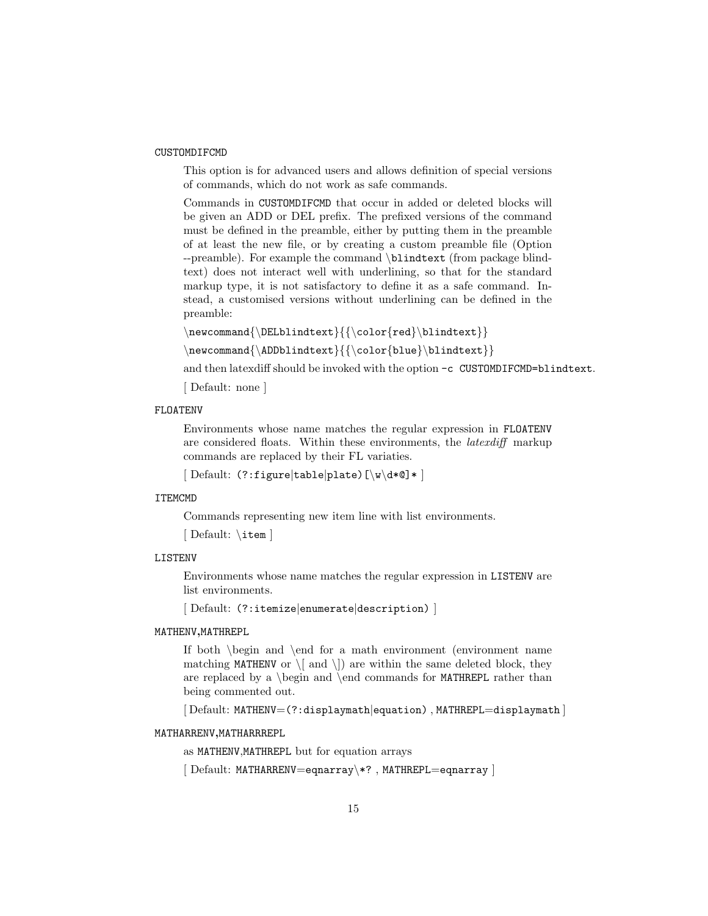#### CUSTOMDIFCMD

This option is for advanced users and allows definition of special versions of commands, which do not work as safe commands.

Commands in CUSTOMDIFCMD that occur in added or deleted blocks will be given an ADD or DEL prefix. The prefixed versions of the command must be defined in the preamble, either by putting them in the preamble of at least the new file, or by creating a custom preamble file (Option --preamble). For example the command \blindtext (from package blindtext) does not interact well with underlining, so that for the standard markup type, it is not satisfactory to define it as a safe command. Instead, a customised versions without underlining can be defined in the preamble:

```
\verb|\newcommand{{\Delta}+Cold*|}+ \verb|\newcommand{{\Delta}+Cold*|}+ \verb|\newcommand{{\Delta}+Cold*|}+ \verb|\newcommand{{\Delta}+Cold*|}+ \verb|\newcommand{{\Delta}+Cold*|}+ \verb|\newcommand*|}+ \verb|\newcommand*|+ \verb|\newadd*|}+ \verb|\newadd*|}+ \verb|\newadd*|+ \verb|\newadd*|}+ \verb|\newadd*|+ \verb|\newadd*|}+ \verb|\newadd*|+ \verb|\newadd*|}+ \verb|\newadd*|+ \verb|\newadd*|}+ \verb|\newadd*|+ \verb|\newadd*|}+ \verb|\newadd*|+ \verb|\newadd*|}+ \verb|\
```

```
\newcommand{\\ADDblindtext}{\color{blue}\blindtert}
```
and then latexdiff should be invoked with the option -c CUSTOMDIFCMD=blindtext.

[ Default: none ]

### FLOATENV

Environments whose name matches the regular expression in FLOATENV are considered floats. Within these environments, the latexdiff markup commands are replaced by their FL variaties.

[ Default: (?:figure|table|plate)[\w\d\*@]\* ]

#### ITEMCMD

Commands representing new item line with list environments.

[ Default: \item ]

### LISTENV

Environments whose name matches the regular expression in LISTENV are list environments.

[ Default: (?:itemize|enumerate|description) ]

#### MATHENV,MATHREPL

If both \begin and \end for a math environment (environment name matching MATHENV or  $\langle \rangle$  and  $\langle \rangle$ ) are within the same deleted block, they are replaced by a  $\begin{bmatrix} 1 & 2 \end{bmatrix}$  and  $\end{bmatrix}$  commands for **MATHREPL** rather than being commented out.

[ Default: MATHENV=(?:displaymath|equation) , MATHREPL=displaymath ]

#### MATHARRENV,MATHARRREPL

as MATHENV,MATHREPL but for equation arrays

[ Default: MATHARRENV=eqnarray\\*? , MATHREPL=eqnarray ]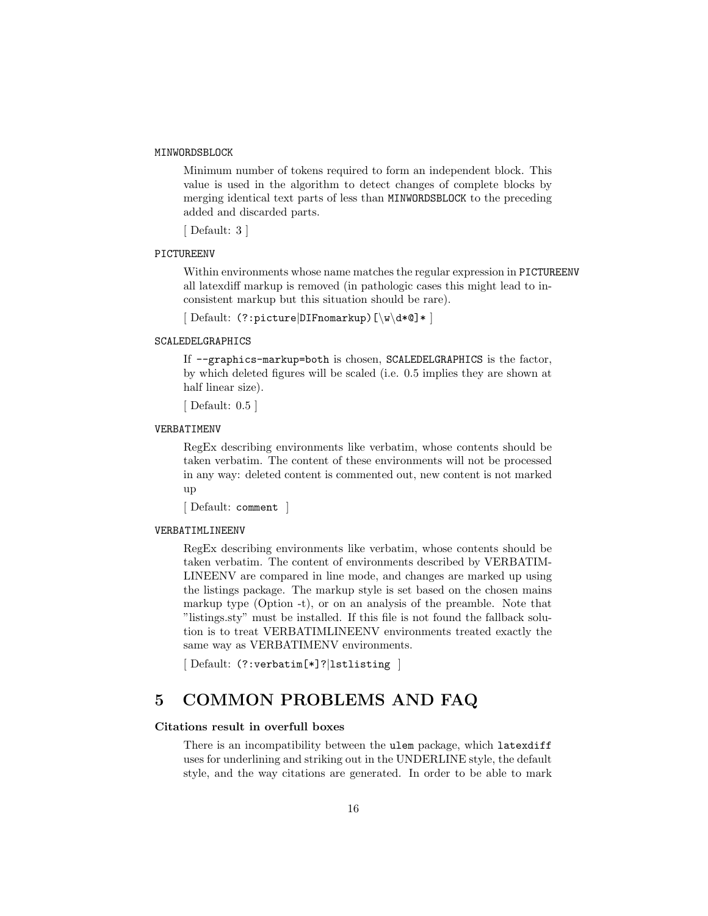#### MINWORDSBLOCK

Minimum number of tokens required to form an independent block. This value is used in the algorithm to detect changes of complete blocks by merging identical text parts of less than MINWORDSBLOCK to the preceding added and discarded parts.

[ Default: 3 ]

### PICTUREENV

Within environments whose name matches the regular expression in PICTUREENV all latexdiff markup is removed (in pathologic cases this might lead to inconsistent markup but this situation should be rare).

[ Default: (?:picture|DIFnomarkup)[\w\d\*@]\* ]

#### SCALEDELGRAPHICS

If --graphics-markup=both is chosen, SCALEDELGRAPHICS is the factor, by which deleted figures will be scaled (i.e. 0.5 implies they are shown at half linear size).

```
[ Default: 0.5 ]
```
#### VERBATIMENV

RegEx describing environments like verbatim, whose contents should be taken verbatim. The content of these environments will not be processed in any way: deleted content is commented out, new content is not marked up

[ Default: comment ]

#### VERBATIMLINEENV

RegEx describing environments like verbatim, whose contents should be taken verbatim. The content of environments described by VERBATIM-LINEENV are compared in line mode, and changes are marked up using the listings package. The markup style is set based on the chosen mains markup type (Option -t), or on an analysis of the preamble. Note that "listings.sty" must be installed. If this file is not found the fallback solution is to treat VERBATIMLINEENV environments treated exactly the same way as VERBATIMENV environments.

[ Default: (?:verbatim[\*]?|lstlisting ]

## 5 COMMON PROBLEMS AND FAQ

#### Citations result in overfull boxes

There is an incompatibility between the ulem package, which latexdiff uses for underlining and striking out in the UNDERLINE style, the default style, and the way citations are generated. In order to be able to mark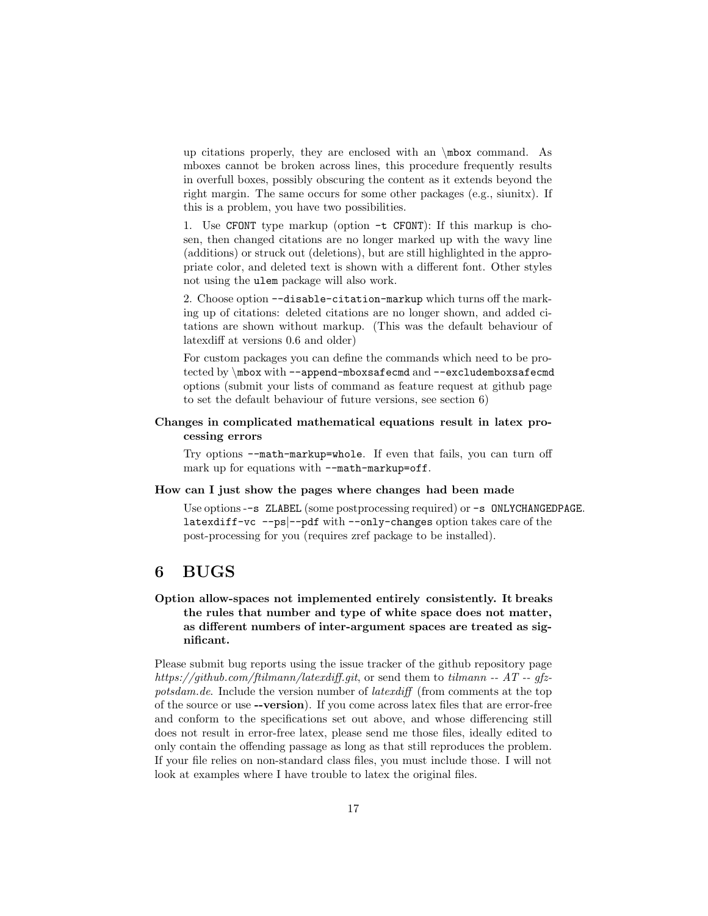up citations properly, they are enclosed with an \mbox command. As mboxes cannot be broken across lines, this procedure frequently results in overfull boxes, possibly obscuring the content as it extends beyond the right margin. The same occurs for some other packages (e.g., siunitx). If this is a problem, you have two possibilities.

1. Use CFONT type markup (option -t CFONT): If this markup is chosen, then changed citations are no longer marked up with the wavy line (additions) or struck out (deletions), but are still highlighted in the appropriate color, and deleted text is shown with a different font. Other styles not using the ulem package will also work.

2. Choose option --disable-citation-markup which turns off the marking up of citations: deleted citations are no longer shown, and added citations are shown without markup. (This was the default behaviour of latexdiff at versions 0.6 and older)

For custom packages you can define the commands which need to be protected by \mbox with --append-mboxsafecmd and --excludemboxsafecmd options (submit your lists of command as feature request at github page to set the default behaviour of future versions, see section 6)

### Changes in complicated mathematical equations result in latex processing errors

Try options --math-markup=whole. If even that fails, you can turn off mark up for equations with --math-markup=off.

#### How can I just show the pages where changes had been made

Use options --s ZLABEL (some postprocessing required) or -s ONLYCHANGEDPAGE. latexdiff-vc --ps|--pdf with --only-changes option takes care of the post-processing for you (requires zref package to be installed).

## 6 BUGS

## Option allow-spaces not implemented entirely consistently. It breaks the rules that number and type of white space does not matter, as different numbers of inter-argument spaces are treated as significant.

Please submit bug reports using the issue tracker of the github repository page https://github.com/ftilmann/latexdiff.git, or send them to tilmann --  $AT - q$ potsdam.de. Include the version number of *latexdiff* (from comments at the top of the source or use --version). If you come across latex files that are error-free and conform to the specifications set out above, and whose differencing still does not result in error-free latex, please send me those files, ideally edited to only contain the offending passage as long as that still reproduces the problem. If your file relies on non-standard class files, you must include those. I will not look at examples where I have trouble to latex the original files.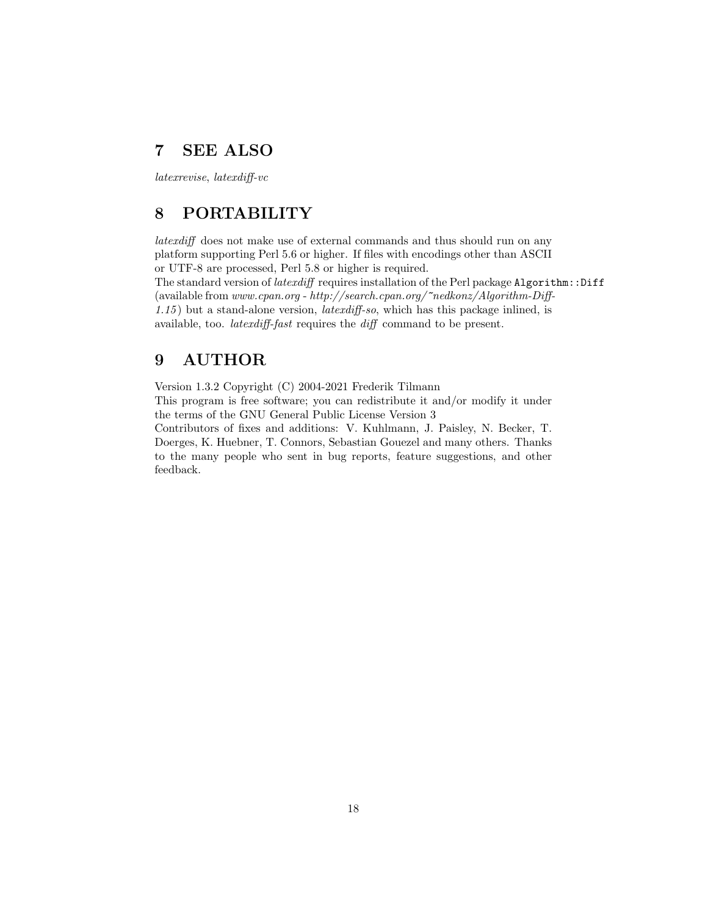## 7 SEE ALSO

latexrevise, latexdiff-vc

## 8 PORTABILITY

latexdiff does not make use of external commands and thus should run on any platform supporting Perl 5.6 or higher. If files with encodings other than ASCII or UTF-8 are processed, Perl 5.8 or higher is required.

The standard version of *latexdiff* requires installation of the Perl package Algorithm::Diff (available from www.cpan.org - http://search.cpan.org/~nedkonz/Algorithm-Diff-1.15 ) but a stand-alone version, latexdiff-so, which has this package inlined, is available, too. latexdiff-fast requires the diff command to be present.

## 9 AUTHOR

Version 1.3.2 Copyright (C) 2004-2021 Frederik Tilmann

This program is free software; you can redistribute it and/or modify it under the terms of the GNU General Public License Version 3

Contributors of fixes and additions: V. Kuhlmann, J. Paisley, N. Becker, T. Doerges, K. Huebner, T. Connors, Sebastian Gouezel and many others. Thanks to the many people who sent in bug reports, feature suggestions, and other feedback.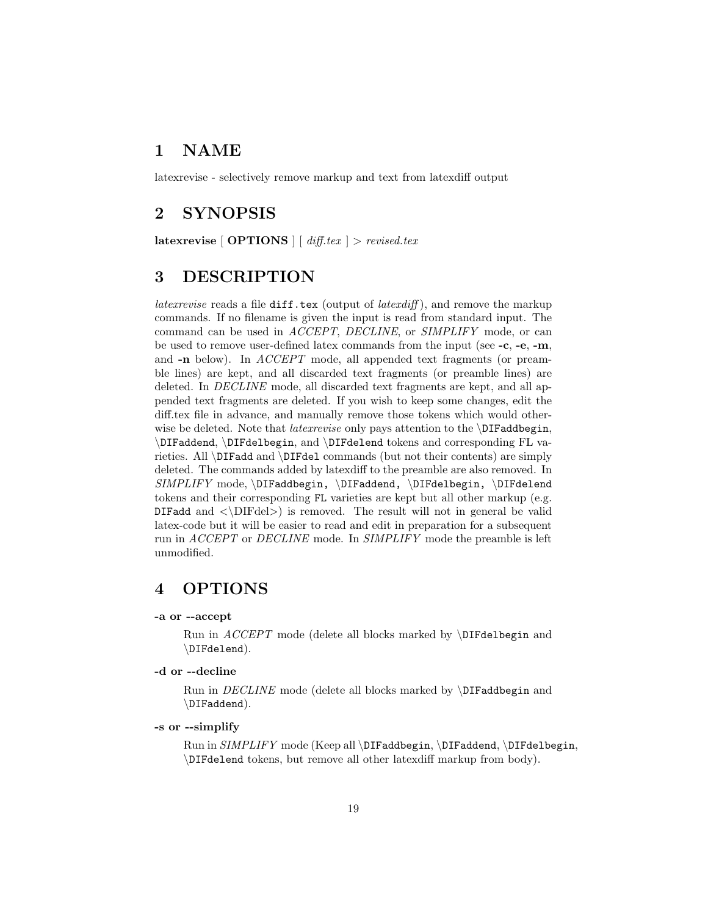## 1 NAME

latexrevise - selectively remove markup and text from latexdiff output

## 2 SYNOPSIS

latexrevise  $\lceil$  OPTIONS  $\rceil$   $\lceil$  diff.tex  $\rceil$  > revised.tex

## 3 DESCRIPTION

latex revise reads a file  $diff.$  tex (output of latexdiff), and remove the markup commands. If no filename is given the input is read from standard input. The command can be used in ACCEPT, DECLINE, or SIMPLIFY mode, or can be used to remove user-defined latex commands from the input (see -c, -e, -m, and -n below). In *ACCEPT* mode, all appended text fragments (or preamble lines) are kept, and all discarded text fragments (or preamble lines) are deleted. In DECLINE mode, all discarded text fragments are kept, and all appended text fragments are deleted. If you wish to keep some changes, edit the diff.tex file in advance, and manually remove those tokens which would otherwise be deleted. Note that *latexrevise* only pays attention to the \DIFaddbegin, \DIFaddend, \DIFdelbegin, and \DIFdelend tokens and corresponding FL varieties. All \DIFadd and \DIFdel commands (but not their contents) are simply deleted. The commands added by latexdiff to the preamble are also removed. In SIMPLIFY mode, \DIFaddbegin, \DIFaddend, \DIFdelbegin, \DIFdelend tokens and their corresponding FL varieties are kept but all other markup (e.g. DIFadd and  $\langle\Delta E\rangle$  is removed. The result will not in general be valid latex-code but it will be easier to read and edit in preparation for a subsequent run in ACCEPT or DECLINE mode. In SIMPLIFY mode the preamble is left unmodified.

## 4 OPTIONS

### -a or --accept

Run in  $ACCEPT$  mode (delete all blocks marked by  $DFdelbegin{$  and \DIFdelend).

#### -d or --decline

Run in DECLINE mode (delete all blocks marked by \DIFaddbegin and \DIFaddend).

### -s or --simplify

Run in SIMPLIFY mode (Keep all \DIFaddbegin, \DIFaddend, \DIFdelbegin, \DIFdelend tokens, but remove all other latexdiff markup from body).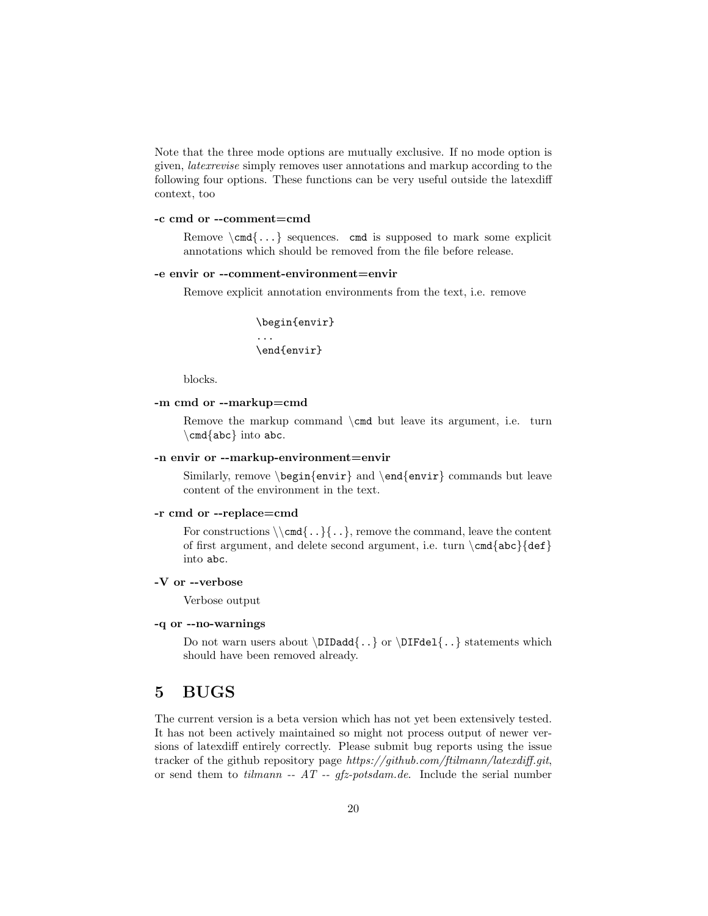Note that the three mode options are mutually exclusive. If no mode option is given, latexrevise simply removes user annotations and markup according to the following four options. These functions can be very useful outside the latexdiff context, too

#### -c cmd or --comment=cmd

Remove  $\operatorname{cmd} \{ \dots \}$  sequences. cmd is supposed to mark some explicit annotations which should be removed from the file before release.

#### -e envir or --comment-environment=envir

Remove explicit annotation environments from the text, i.e. remove

```
\begin{envir}
...
\end{envir}
```
blocks.

### -m cmd or --markup=cmd

Remove the markup command \cmd but leave its argument, i.e. turn  $\operatorname{abc}$  into abc.

#### -n envir or --markup-environment=envir

Similarly, remove  $\begin{cases} envir \ and \end{cases} convir \ commands but leave$ content of the environment in the text.

#### -r cmd or --replace=cmd

For constructions  $\{\cdot, \cdot\}$ , remove the command, leave the content of first argument, and delete second argument, i.e. turn  $\c{abc}{def}$ into abc.

### -V or --verbose

Verbose output

#### -q or --no-warnings

Do not warn users about  $\D{D1\}$  or  $\D1\}$  statements which should have been removed already.

## 5 BUGS

The current version is a beta version which has not yet been extensively tested. It has not been actively maintained so might not process output of newer versions of latexdiff entirely correctly. Please submit bug reports using the issue tracker of the github repository page https://github.com/ftilmann/latexdiff.git, or send them to tilmann --  $AT - gfs-potsdam.de$ . Include the serial number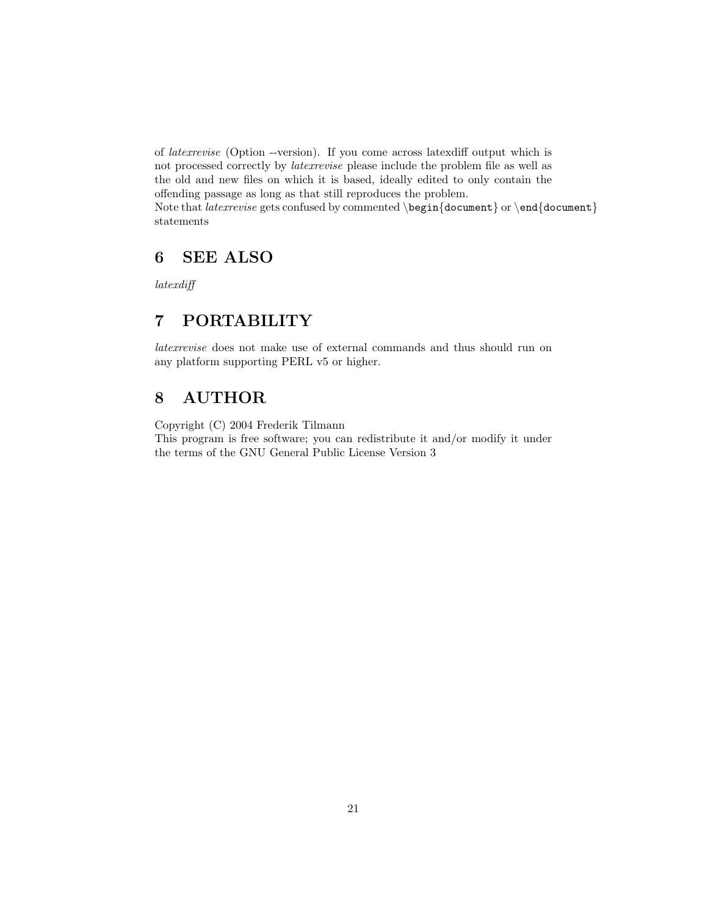of latexrevise (Option --version). If you come across latexdiff output which is not processed correctly by latexrevise please include the problem file as well as the old and new files on which it is based, ideally edited to only contain the offending passage as long as that still reproduces the problem. Note that *latexrevise* gets confused by commented  $\begin{cases} \begin{cases} \begin{array}{c} \text{or } \text{end} \end{cases} \end{cases}$ statements

## 6 SEE ALSO

latexdiff

## 7 PORTABILITY

latexrevise does not make use of external commands and thus should run on any platform supporting PERL v5 or higher.

## 8 AUTHOR

Copyright (C) 2004 Frederik Tilmann

This program is free software; you can redistribute it and/or modify it under the terms of the GNU General Public License Version 3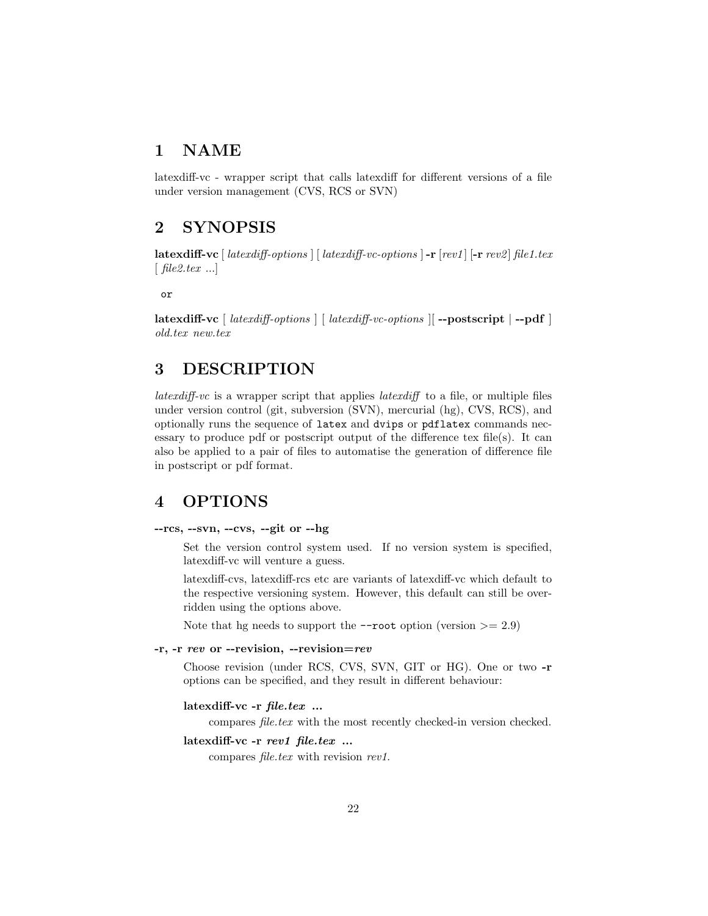## 1 NAME

latexdiff-vc - wrapper script that calls latexdiff for different versions of a file under version management (CVS, RCS or SVN)

## 2 SYNOPSIS

latexdiff-vc  $\lceil$  latexdiff-options  $\rceil$   $\lceil$  latexdiff-vc-options  $\rceil$  -r  $\lceil rev1 \rceil$  [-r  $rev2 \rceil$  file1.tex  $\lceil$  file2.tex ...

or

latexdiff-vc [ latexdiff-options ] [ latexdiff-vc-options ][ --postscript | --pdf ] old.tex new.tex

## 3 DESCRIPTION

*latexdiff-vc* is a wrapper script that applies *latexdiff* to a file, or multiple files under version control (git, subversion (SVN), mercurial (hg), CVS, RCS), and optionally runs the sequence of latex and dvips or pdflatex commands necessary to produce pdf or postscript output of the difference tex file(s). It can also be applied to a pair of files to automatise the generation of difference file in postscript or pdf format.

## 4 OPTIONS

### --rcs, --svn, --cvs, --git or --hg

Set the version control system used. If no version system is specified, latexdiff-vc will venture a guess.

latexdiff-cvs, latexdiff-rcs etc are variants of latexdiff-vc which default to the respective versioning system. However, this default can still be overridden using the options above.

Note that hg needs to support the  $\text{-root}$  option (version  $\geq 2.9$ )

## -r, -r rev or --revision, --revision=rev

Choose revision (under RCS, CVS, SVN, GIT or HG). One or two -r options can be specified, and they result in different behaviour:

## latexdiff-vc -r file.tex ...

compares file.tex with the most recently checked-in version checked.

#### latexdiff-vc -r rev1 file.tex ...

compares *file.tex* with revision rev1.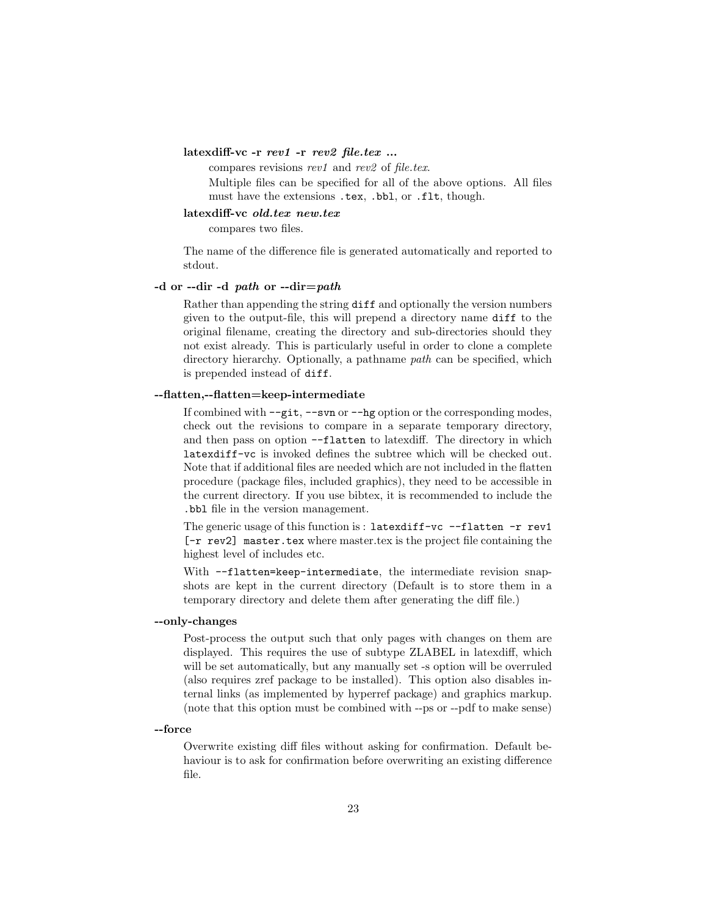#### latexdiff-vc -r rev1 -r rev2 file.tex ...

compares revisions rev1 and rev2 of file.tex.

Multiple files can be specified for all of the above options. All files must have the extensions .tex, .bbl, or .flt, though.

#### latexdiff-vc old.tex new.tex

compares two files.

The name of the difference file is generated automatically and reported to stdout.

#### -d or --dir -d path or --dir=path

Rather than appending the string diff and optionally the version numbers given to the output-file, this will prepend a directory name diff to the original filename, creating the directory and sub-directories should they not exist already. This is particularly useful in order to clone a complete directory hierarchy. Optionally, a pathname path can be specified, which is prepended instead of diff.

#### --flatten,--flatten=keep-intermediate

If combined with --git, --svn or --hg option or the corresponding modes, check out the revisions to compare in a separate temporary directory, and then pass on option --flatten to latexdiff. The directory in which latexdiff-vc is invoked defines the subtree which will be checked out. Note that if additional files are needed which are not included in the flatten procedure (package files, included graphics), they need to be accessible in the current directory. If you use bibtex, it is recommended to include the .bbl file in the version management.

The generic usage of this function is : latexdiff-vc  $-$ flatten  $-r$  rev1 [-r rev2] master.tex where master.tex is the project file containing the highest level of includes etc.

With --flatten=keep-intermediate, the intermediate revision snapshots are kept in the current directory (Default is to store them in a temporary directory and delete them after generating the diff file.)

### --only-changes

Post-process the output such that only pages with changes on them are displayed. This requires the use of subtype ZLABEL in latexdiff, which will be set automatically, but any manually set -s option will be overruled (also requires zref package to be installed). This option also disables internal links (as implemented by hyperref package) and graphics markup. (note that this option must be combined with --ps or --pdf to make sense)

#### --force

Overwrite existing diff files without asking for confirmation. Default behaviour is to ask for confirmation before overwriting an existing difference file.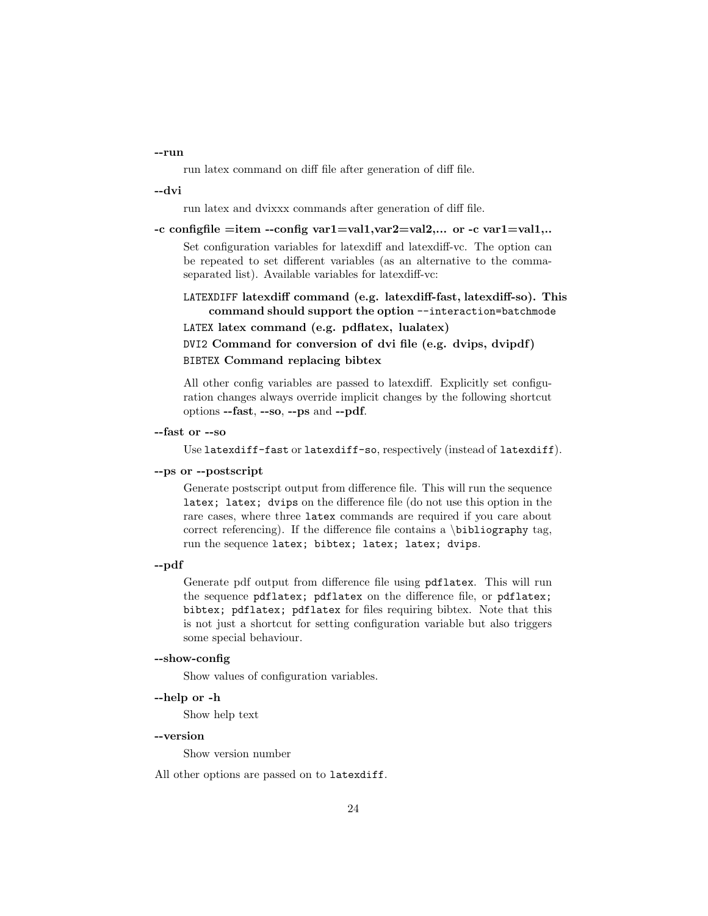#### --run

run latex command on diff file after generation of diff file.

--dvi

run latex and dvixxx commands after generation of diff file.

-c configfile =item --config var1=val1,var2=val2,... or -c var1=val1,..

Set configuration variables for latexdiff and latexdiff-vc. The option can be repeated to set different variables (as an alternative to the commaseparated list). Available variables for latexdiff-vc:

LATEXDIFF latexdiff command (e.g. latexdiff-fast, latexdiff-so). This command should support the option --interaction=batchmode

LATEX latex command (e.g. pdflatex, lualatex)

DVI2 Command for conversion of dvi file (e.g. dvips, dvipdf) BIBTEX Command replacing bibtex

All other config variables are passed to latexdiff. Explicitly set configuration changes always override implicit changes by the following shortcut options --fast, --so, --ps and --pdf.

--fast or --so

Use latexdiff-fast or latexdiff-so, respectively (instead of latexdiff).

#### --ps or --postscript

Generate postscript output from difference file. This will run the sequence latex; latex; dvips on the difference file (do not use this option in the rare cases, where three latex commands are required if you care about correct referencing). If the difference file contains a  $\bibliography$  tag, run the sequence latex; bibtex; latex; latex; dvips.

#### --pdf

Generate pdf output from difference file using pdflatex. This will run the sequence pdflatex; pdflatex on the difference file, or pdflatex; bibtex; pdflatex; pdflatex for files requiring bibtex. Note that this is not just a shortcut for setting configuration variable but also triggers some special behaviour.

#### --show-config

Show values of configuration variables.

--help or -h

Show help text

#### --version

Show version number

All other options are passed on to latexdiff.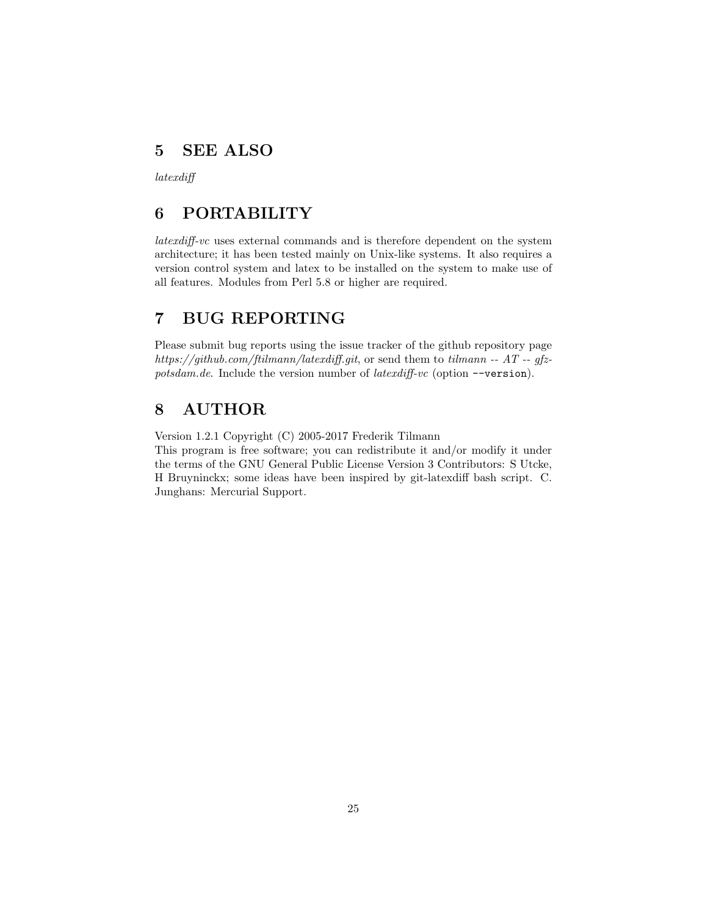## 5 SEE ALSO

latexdiff

## 6 PORTABILITY

latexdiff-vc uses external commands and is therefore dependent on the system architecture; it has been tested mainly on Unix-like systems. It also requires a version control system and latex to be installed on the system to make use of all features. Modules from Perl 5.8 or higher are required.

## 7 BUG REPORTING

Please submit bug reports using the issue tracker of the github repository page https://github.com/ftilmann/latexdiff.git, or send them to tilmann --  $AT$  -- gfzpotsdam.de. Include the version number of latexdiff-vc (option --version).

## 8 AUTHOR

Version 1.2.1 Copyright (C) 2005-2017 Frederik Tilmann

This program is free software; you can redistribute it and/or modify it under the terms of the GNU General Public License Version 3 Contributors: S Utcke, H Bruyninckx; some ideas have been inspired by git-latexdiff bash script. C. Junghans: Mercurial Support.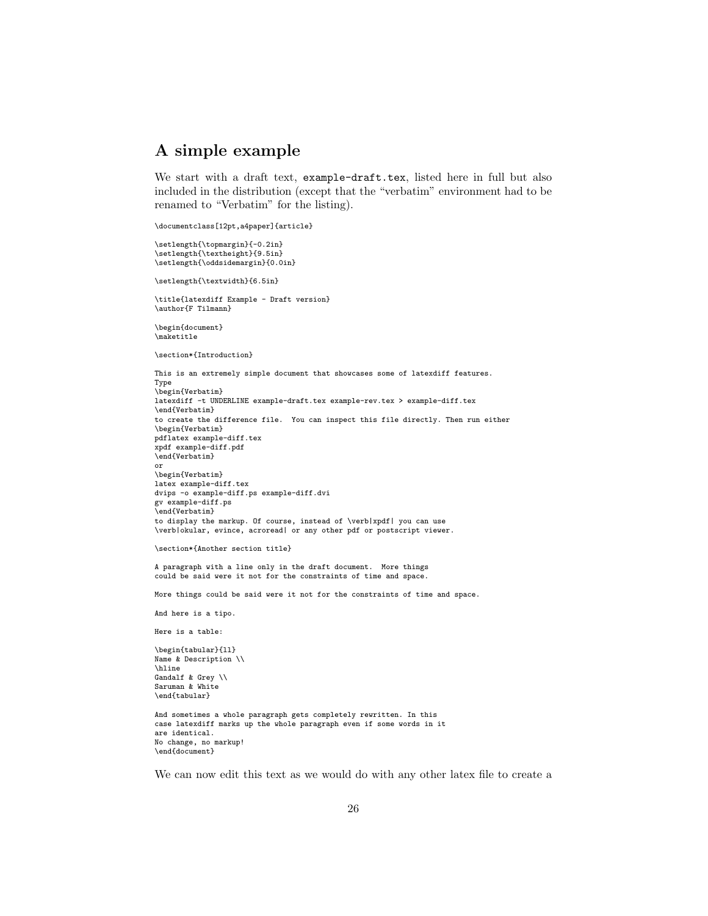## A simple example

We start with a draft text, example-draft.tex, listed here in full but also included in the distribution (except that the "verbatim" environment had to be renamed to "Verbatim" for the listing).

\documentclass[12pt,a4paper]{article}

\setlength{\topmargin}{-0.2in} \setlength{\textheight}{9.5in} \setlength{\oddsidemargin}{0.0in}

\setlength{\textwidth}{6.5in}

\title{latexdiff Example - Draft version} \author{F Tilmann}

\begin{document} \maketitle

\section\*{Introduction}

This is an extremely simple document that showcases some of latexdiff features. Type \begin{Verbatim} latexdiff -t UNDERLINE example-draft.tex example-rev.tex > example-diff.tex \end{Verbatim} to create the difference file. You can inspect this file directly. Then run either \begin{Verbatim} pdflatex example-diff.tex xpdf example-diff.pdf \end{Verbatim} or \begin{Verbatim} latex example-diff.tex dvips -o example-diff.ps example-diff.dvi gv example-diff.ps \end{Verbatim} to display the markup. Of course, instead of \verb|xpdf| you can use \verb|okular, evince, acroread| or any other pdf or postscript viewer.

```
\section*{Another section title}
```
A paragraph with a line only in the draft document. More things could be said were it not for the constraints of time and space.

More things could be said were it not for the constraints of time and space.

```
And here is a tipo.
```
Here is a table:

\begin{tabular}{ll} Name & Description \\ \hline Gandalf & Grey \\ Saruman & White \end{tabular}

And sometimes a whole paragraph gets completely rewritten. In this case latexdiff marks up the whole paragraph even if some words in it are identical. No change, no markup! \end{document}

We can now edit this text as we would do with any other latex file to create a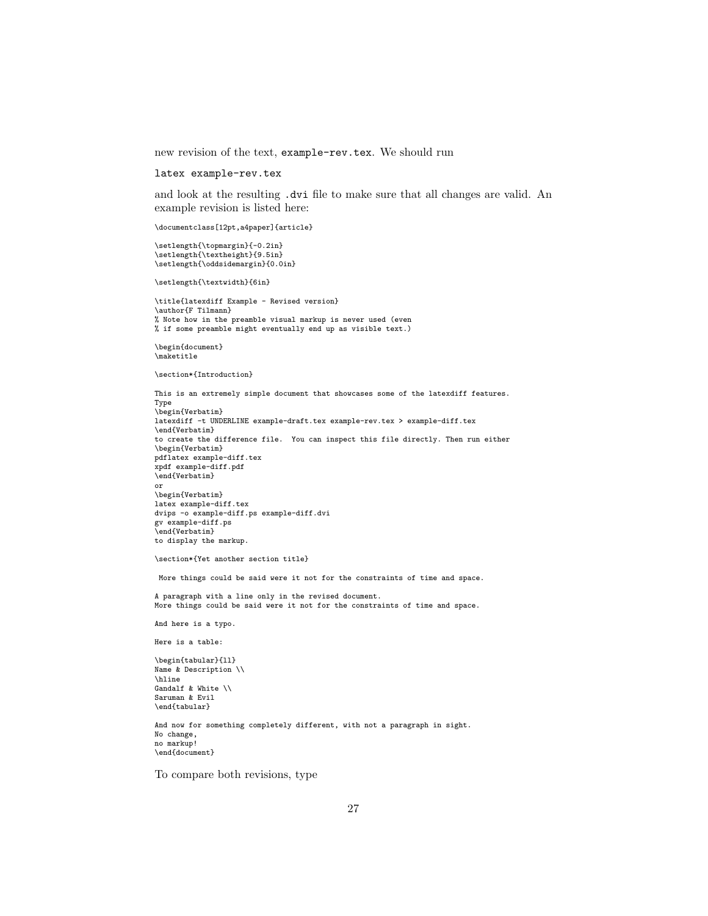new revision of the text, example-rev.tex. We should run

latex example-rev.tex

and look at the resulting .dvi file to make sure that all changes are valid. An example revision is listed here:

\documentclass[12pt,a4paper]{article}

\setlength{\topmargin}{-0.2in} \setlength{\textheight}{9.5in} \setlength{\oddsidemargin}{0.0in}

\setlength{\textwidth}{6in}

\title{latexdiff Example - Revised version} \author{F Tilmann} % Note how in the preamble visual markup is never used (even % if some preamble might eventually end up as visible text.)

\begin{document} \maketitle

\section\*{Introduction}

This is an extremely simple document that showcases some of the latexdiff features. Type \begin{Verbatim} latexdiff -t UNDERLINE example-draft.tex example-rev.tex > example-diff.tex \end{Verbatim} to create the difference file. You can inspect this file directly. Then run either \begin{Verbatim} pdflatex example-diff.tex xpdf example-diff.pdf \end{Verbatim} or \begin{Verbatim} latex example-diff.tex dvips -o example-diff.ps example-diff.dvi gv example-diff.ps \end{Verbatim} to display the markup.

\section\*{Yet another section title}

More things could be said were it not for the constraints of time and space.

A paragraph with a line only in the revised document. More things could be said were it not for the constraints of time and space.

And here is a typo.

Here is a table:

\begin{tabular}{ll} Name & Description \\ \hline Gandalf & White \\ Saruman & Evil \end{tabular}

And now for something completely different, with not a paragraph in sight. No change, no markup! \end{document}

To compare both revisions, type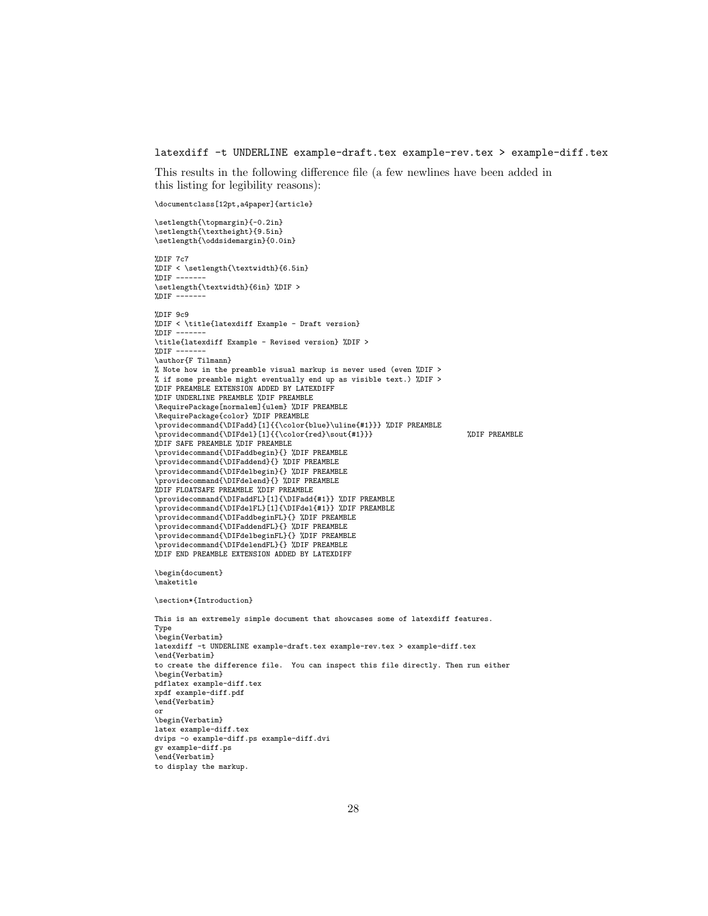#### latexdiff -t UNDERLINE example-draft.tex example-rev.tex > example-diff.tex

This results in the following difference file (a few newlines have been added in this listing for legibility reasons):

```
\documentclass[12pt,a4paper]{article}
```
\setlength{\topmargin}{-0.2in} \setlength{\textheight}{9.5in} \setlength{\oddsidemargin}{0.0in} %DIF 7c7 %DIF < \setlength{\textwidth}{6.5in} % $DIF$  --\setlength{\textwidth}{6in} %DIF >  $%$ DIF -%DIF 9c9 %DIF < \title{latexdiff Example - Draft version}  $%$ DIF -\title{latexdiff Example - Revised version} %DIF >  $"ADIF --$ \author{F Tilmann} % Note how in the preamble visual markup is never used (even %DIF > % if some preamble might eventually end up as visible text.) %DIF > %DIF PREAMBLE EXTENSION ADDED BY LATEXDIFF %DIF UNDERLINE PREAMBLE %DIF PREAMBLE \RequirePackage[normalem]{ulem} %DIF PREAMBLE \RequirePackage{color} %DIF PREAMBLE \providecommand{\DIFadd}[1]{{\color{blue}\uline{#1}}} %DIF PREAMBLE \providecommand{\DIFdel}[1]{{\color{red}\sout{#1}}} %DIF PREAMBLE %DIF SAFE PREAMBLE %DIF PREAMBLE \providecommand{\DIFaddbegin}{} %DIF PREAMBLE \providecommand{\DIFaddend}{} %DIF PREAMBLE \providecommand{\DIFdelbegin}{} %DIF PREAMBLE \providecommand{\DIFdelend}{} %DIF PREAMBLE %DIF FLOATSAFE PREAMBLE %DIF PREAMBLE \providecommand{\DIFaddFL}[1]{\DIFadd{#1}} %DIF PREAMBLE \providecommand{\DIFdelFL}[1]{\DIFdel{#1}} %DIF PREAMBLE \providecommand{\DIFaddbeginFL}{} %DIF PREAMBLE \providecommand{\DIFaddendFL}{} %DIF PREAMBLE \providecommand{\DIFdelbeginFL}{} %DIF PREAMBLE \providecommand{\DIFdelendFL}{} %DIF PREAMBLE %DIF END PREAMBLE EXTENSION ADDED BY LATEXDIFF \begin{document} \maketitle \section\*{Introduction} This is an extremely simple document that showcases some of latexdiff features. Type \begin{Verbatim} latexdiff -t UNDERLINE example-draft.tex example-rev.tex > example-diff.tex \end{Verbatim} to create the difference file. You can inspect this file directly. Then run either \begin{Verbatim} pdflatex example-diff.tex xpdf example-diff.pdf \end{Verbatim} or \begin{Verbatim} latex example-diff.tex dvips -o example-diff.ps example-diff.dvi gv example-diff.ps \end{Verbatim} to display the markup.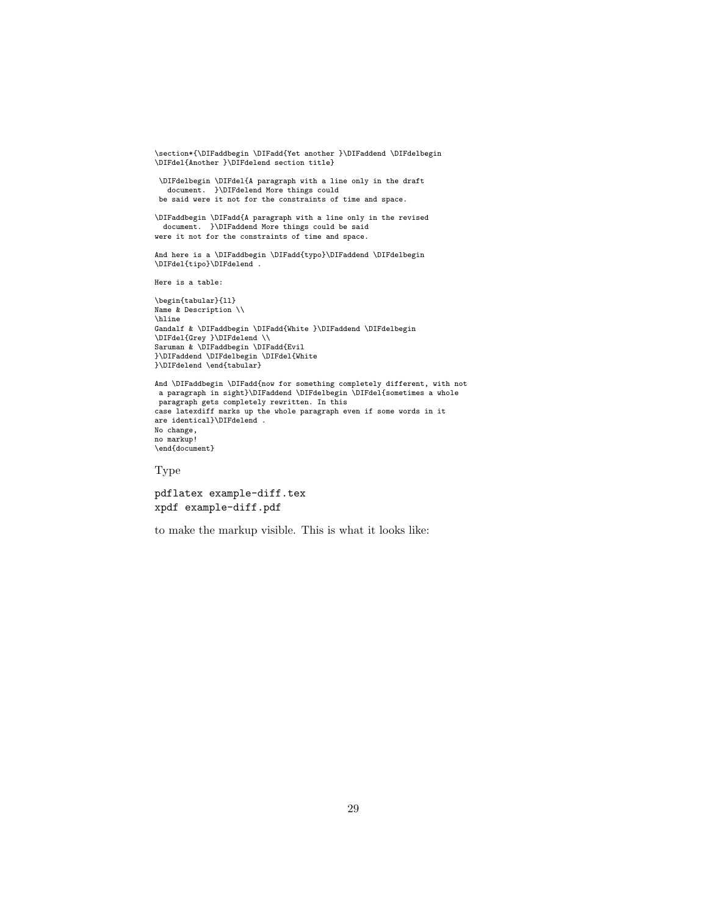\section\*{\DIFaddbegin \DIFadd{Yet another }\DIFaddend \DIFdelbegin \DIFdel{Another }\DIFdelend section title}

\DIFdelbegin \DIFdel{A paragraph with a line only in the draft document. }\DIFdelend More things could be said were it not for the constraints of time and space.

\DIFaddbegin \DIFadd{A paragraph with a line only in the revised document. }\DIFaddend More things could be said were it not for the constraints of time and space.

And here is a \DIFaddbegin \DIFadd{typo}\DIFaddend \DIFdelbegin \DIFdel{tipo}\DIFdelend .

Here is a table:

\begin{tabular}{ll} Name & Description \\ \hline Gandalf & \DIFaddbegin \DIFadd{White }\DIFaddend \DIFdelbegin \DIFdel{Grey }\DIFdelend \\ Saruman & \DIFaddbegin \DIFadd{Evil }\DIFaddend \DIFdelbegin \DIFdel{White }\DIFdelend \end{tabular}

And \DIFaddbegin \DIFadd{now for something completely different, with not a paragraph in sight}\DIFaddend \DIFdelbegin \DIFdel{sometimes a whole paragraph gets completely rewritten. In this case latexdiff marks up the whole paragraph even if some words in it are identical}\DIFdelend . No change, no markup! \end{document}

Type

pdflatex example-diff.tex xpdf example-diff.pdf

to make the markup visible. This is what it looks like: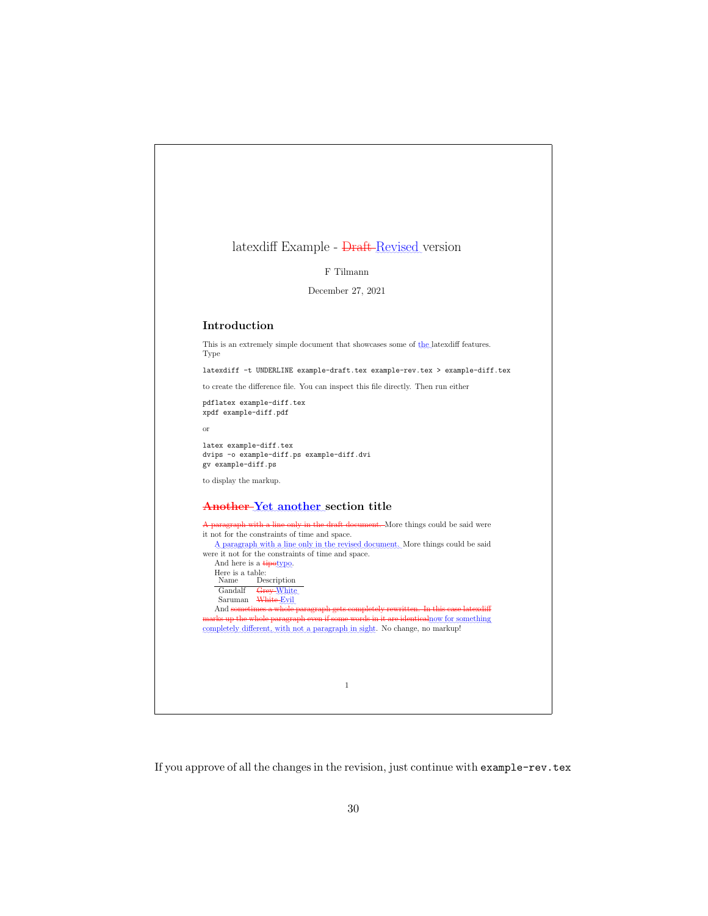|          | latexdiff Example - <del>Draft Revised</del> version                                                                                                                |
|----------|---------------------------------------------------------------------------------------------------------------------------------------------------------------------|
|          | F Tilmann                                                                                                                                                           |
|          | December 27, 2021                                                                                                                                                   |
|          | Introduction                                                                                                                                                        |
|          | This is an extremely simple document that showcases some of the latex different features.                                                                           |
| Type     |                                                                                                                                                                     |
|          | latexdiff -t UNDERLINE example-draft.tex example-rev.tex > example-diff.tex                                                                                         |
|          | to create the difference file. You can inspect this file directly. Then run either                                                                                  |
|          | pdflatex example-diff.tex<br>xpdf example-diff.pdf                                                                                                                  |
| $\alpha$ |                                                                                                                                                                     |
|          | latex example-diff.tex<br>dvips -o example-diff.ps example-diff.dvi<br>gv example-diff.ps                                                                           |
|          | to display the markup.                                                                                                                                              |
|          | Another-Yet another section title                                                                                                                                   |
|          | A paragraph with a line only in the draft document. More things could be said were                                                                                  |
|          | it not for the constraints of time and space.<br>A paragraph with a line only in the revised document. More things could be said                                    |
|          | were it not for the constraints of time and space.                                                                                                                  |
|          | And here is a <b>tipotypo</b> .<br>Here is a table:                                                                                                                 |
|          | Name<br>Description                                                                                                                                                 |
|          | Gandalf<br>Grey-White<br>Saruman White-Evil                                                                                                                         |
|          | And sometimes a whole paragraph gets completely rewritten. In this case latex diff                                                                                  |
|          | marks up the whole paragraph even if some words in it are identical now for something<br>completely different, with not a paragraph in sight. No change, no markup! |
|          |                                                                                                                                                                     |
|          |                                                                                                                                                                     |
|          | $\mathbf{1}$                                                                                                                                                        |
|          |                                                                                                                                                                     |

٦

If you approve of all the changes in the revision, just continue with  $\tt example-rev.tex$